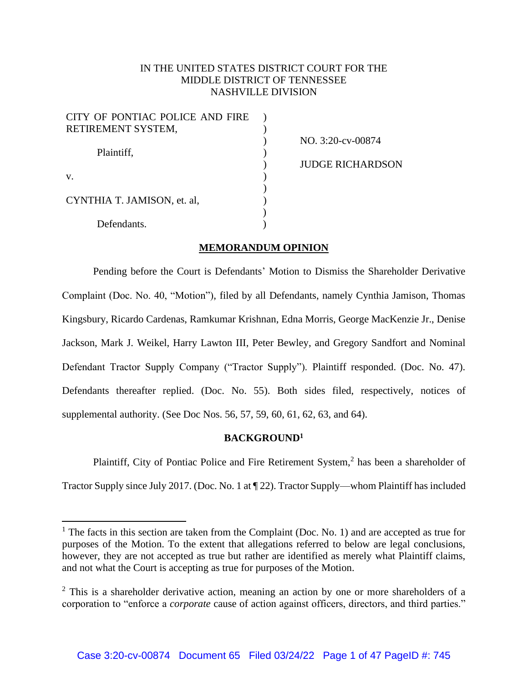# IN THE UNITED STATES DISTRICT COURT FOR THE MIDDLE DISTRICT OF TENNESSEE NASHVILLE DIVISION

| CITY OF PONTIAC POLICE AND FIRE |  |
|---------------------------------|--|
| RETIREMENT SYSTEM,              |  |
|                                 |  |
| Plaintiff,                      |  |
|                                 |  |
| V.                              |  |
|                                 |  |
| CYNTHIA T. JAMISON, et. al,     |  |
|                                 |  |
| Defendants.                     |  |

NO. 3:20-cv-00874 JUDGE RICHARDSON

## **MEMORANDUM OPINION**

Pending before the Court is Defendants' Motion to Dismiss the Shareholder Derivative Complaint (Doc. No. 40, "Motion"), filed by all Defendants, namely Cynthia Jamison, Thomas Kingsbury, Ricardo Cardenas, Ramkumar Krishnan, Edna Morris, George MacKenzie Jr., Denise Jackson, Mark J. Weikel, Harry Lawton III, Peter Bewley, and Gregory Sandfort and Nominal Defendant Tractor Supply Company ("Tractor Supply"). Plaintiff responded. (Doc. No. 47). Defendants thereafter replied. (Doc. No. 55). Both sides filed, respectively, notices of supplemental authority. (See Doc Nos. 56, 57, 59, 60, 61, 62, 63, and 64).

## **BACKGROUND<sup>1</sup>**

Plaintiff, City of Pontiac Police and Fire Retirement System,<sup>2</sup> has been a shareholder of Tractor Supply since July 2017. (Doc. No. 1 at ¶ 22). Tractor Supply—whom Plaintiff has included

<sup>&</sup>lt;sup>1</sup> The facts in this section are taken from the Complaint (Doc. No. 1) and are accepted as true for purposes of the Motion. To the extent that allegations referred to below are legal conclusions, however, they are not accepted as true but rather are identified as merely what Plaintiff claims, and not what the Court is accepting as true for purposes of the Motion.

 $2$  This is a shareholder derivative action, meaning an action by one or more shareholders of a corporation to "enforce a *corporate* cause of action against officers, directors, and third parties."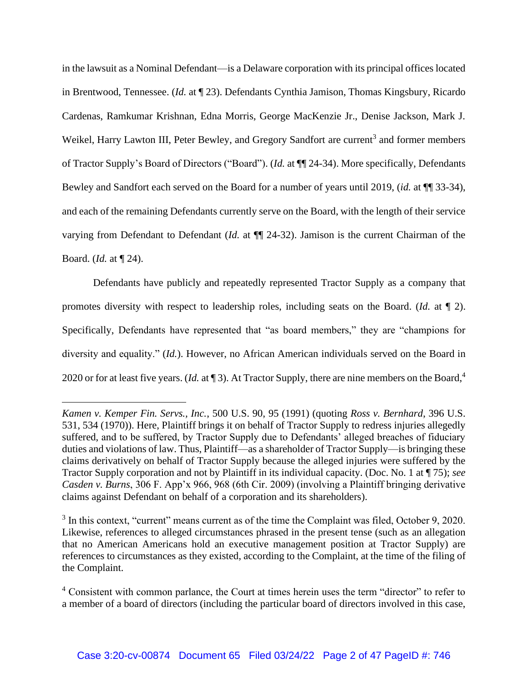in the lawsuit as a Nominal Defendant—is a Delaware corporation with its principal offices located in Brentwood, Tennessee. (*Id.* at ¶ 23). Defendants Cynthia Jamison, Thomas Kingsbury, Ricardo Cardenas, Ramkumar Krishnan, Edna Morris, George MacKenzie Jr., Denise Jackson, Mark J. Weikel, Harry Lawton III, Peter Bewley, and Gregory Sandfort are current<sup>3</sup> and former members of Tractor Supply's Board of Directors ("Board"). (*Id.* at ¶¶ 24-34). More specifically, Defendants Bewley and Sandfort each served on the Board for a number of years until 2019, (*id.* at ¶¶ 33-34), and each of the remaining Defendants currently serve on the Board, with the length of their service varying from Defendant to Defendant (*Id.* at ¶¶ 24-32). Jamison is the current Chairman of the Board. (*Id.* at ¶ 24).

Defendants have publicly and repeatedly represented Tractor Supply as a company that promotes diversity with respect to leadership roles, including seats on the Board. (*Id.* at ¶ 2). Specifically, Defendants have represented that "as board members," they are "champions for diversity and equality." (*Id.*). However, no African American individuals served on the Board in 2020 or for at least five years. (*Id.* at (3). At Tractor Supply, there are nine members on the Board,<sup>4</sup>

*Kamen v. Kemper Fin. Servs., Inc.*, 500 U.S. 90, 95 (1991) (quoting *Ross v. Bernhard*, 396 U.S. 531, 534 (1970)). Here, Plaintiff brings it on behalf of Tractor Supply to redress injuries allegedly suffered, and to be suffered, by Tractor Supply due to Defendants' alleged breaches of fiduciary duties and violations of law. Thus, Plaintiff—as a shareholder of Tractor Supply—is bringing these claims derivatively on behalf of Tractor Supply because the alleged injuries were suffered by the Tractor Supply corporation and not by Plaintiff in its individual capacity. (Doc. No. 1 at ¶ 75); *see Casden v. Burns*, 306 F. App'x 966, 968 (6th Cir. 2009) (involving a Plaintiff bringing derivative claims against Defendant on behalf of a corporation and its shareholders).

 $3$  In this context, "current" means current as of the time the Complaint was filed, October 9, 2020. Likewise, references to alleged circumstances phrased in the present tense (such as an allegation that no American Americans hold an executive management position at Tractor Supply) are references to circumstances as they existed, according to the Complaint, at the time of the filing of the Complaint.

<sup>&</sup>lt;sup>4</sup> Consistent with common parlance, the Court at times herein uses the term "director" to refer to a member of a board of directors (including the particular board of directors involved in this case,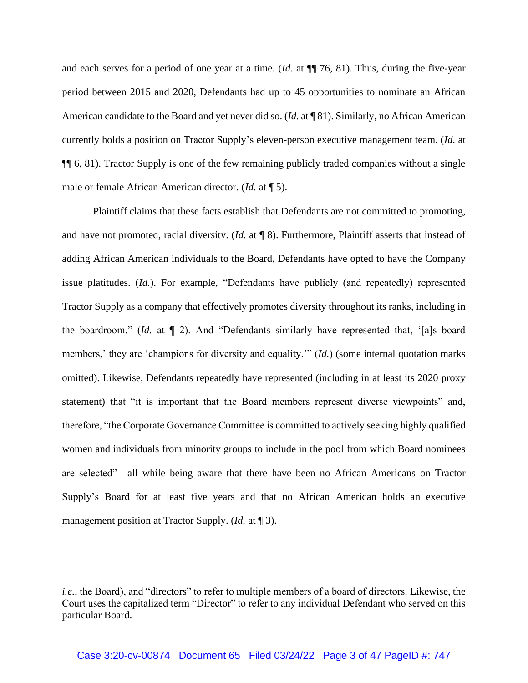and each serves for a period of one year at a time. (*Id.* at ¶¶ 76, 81). Thus, during the five-year period between 2015 and 2020, Defendants had up to 45 opportunities to nominate an African American candidate to the Board and yet never did so. (*Id.* at ¶ 81). Similarly, no African American currently holds a position on Tractor Supply's eleven-person executive management team. (*Id.* at ¶¶ 6, 81). Tractor Supply is one of the few remaining publicly traded companies without a single male or female African American director. (*Id.* at ¶ 5).

Plaintiff claims that these facts establish that Defendants are not committed to promoting, and have not promoted, racial diversity. (*Id.* at ¶ 8). Furthermore, Plaintiff asserts that instead of adding African American individuals to the Board, Defendants have opted to have the Company issue platitudes. (*Id.*). For example, "Defendants have publicly (and repeatedly) represented Tractor Supply as a company that effectively promotes diversity throughout its ranks, including in the boardroom." (*Id.* at ¶ 2). And "Defendants similarly have represented that, '[a]s board members,' they are 'champions for diversity and equality.'" (*Id.*) (some internal quotation marks omitted). Likewise, Defendants repeatedly have represented (including in at least its 2020 proxy statement) that "it is important that the Board members represent diverse viewpoints" and, therefore, "the Corporate Governance Committee is committed to actively seeking highly qualified women and individuals from minority groups to include in the pool from which Board nominees are selected"—all while being aware that there have been no African Americans on Tractor Supply's Board for at least five years and that no African American holds an executive management position at Tractor Supply. (*Id.* at ¶ 3).

*i.e.*, the Board), and "directors" to refer to multiple members of a board of directors. Likewise, the Court uses the capitalized term "Director" to refer to any individual Defendant who served on this particular Board.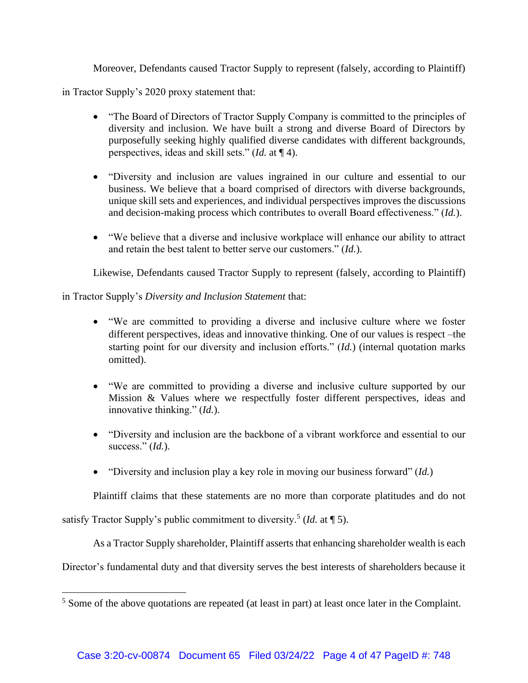Moreover, Defendants caused Tractor Supply to represent (falsely, according to Plaintiff)

in Tractor Supply's 2020 proxy statement that:

- "The Board of Directors of Tractor Supply Company is committed to the principles of diversity and inclusion. We have built a strong and diverse Board of Directors by purposefully seeking highly qualified diverse candidates with different backgrounds, perspectives, ideas and skill sets." (*Id.* at ¶ 4).
- "Diversity and inclusion are values ingrained in our culture and essential to our business. We believe that a board comprised of directors with diverse backgrounds, unique skill sets and experiences, and individual perspectives improves the discussions and decision-making process which contributes to overall Board effectiveness." (*Id.*).
- "We believe that a diverse and inclusive workplace will enhance our ability to attract and retain the best talent to better serve our customers." (*Id.*).

Likewise, Defendants caused Tractor Supply to represent (falsely, according to Plaintiff)

in Tractor Supply's *Diversity and Inclusion Statement* that:

- "We are committed to providing a diverse and inclusive culture where we foster different perspectives, ideas and innovative thinking. One of our values is respect –the starting point for our diversity and inclusion efforts." (*Id.*) (internal quotation marks omitted).
- "We are committed to providing a diverse and inclusive culture supported by our Mission & Values where we respectfully foster different perspectives, ideas and innovative thinking." (*Id.*).
- "Diversity and inclusion are the backbone of a vibrant workforce and essential to our success." (*Id.*).
- "Diversity and inclusion play a key role in moving our business forward" (*Id.*)

Plaintiff claims that these statements are no more than corporate platitudes and do not

satisfy Tractor Supply's public commitment to diversity.<sup>5</sup> (*Id.* at ¶ 5).

As a Tractor Supply shareholder, Plaintiff asserts that enhancing shareholder wealth is each

Director's fundamental duty and that diversity serves the best interests of shareholders because it

<sup>&</sup>lt;sup>5</sup> Some of the above quotations are repeated (at least in part) at least once later in the Complaint.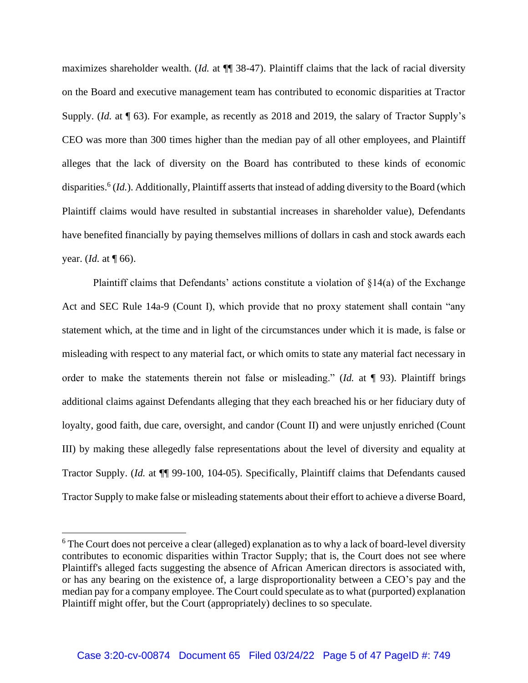maximizes shareholder wealth. (*Id.* at ¶¶ 38-47). Plaintiff claims that the lack of racial diversity on the Board and executive management team has contributed to economic disparities at Tractor Supply. (*Id.* at ¶ 63). For example, as recently as 2018 and 2019, the salary of Tractor Supply's CEO was more than 300 times higher than the median pay of all other employees, and Plaintiff alleges that the lack of diversity on the Board has contributed to these kinds of economic disparities.<sup>6</sup> (*Id.*). Additionally, Plaintiff asserts that instead of adding diversity to the Board (which Plaintiff claims would have resulted in substantial increases in shareholder value), Defendants have benefited financially by paying themselves millions of dollars in cash and stock awards each year. (*Id.* at ¶ 66).

Plaintiff claims that Defendants' actions constitute a violation of §14(a) of the Exchange Act and SEC Rule 14a-9 (Count I), which provide that no proxy statement shall contain "any statement which, at the time and in light of the circumstances under which it is made, is false or misleading with respect to any material fact, or which omits to state any material fact necessary in order to make the statements therein not false or misleading." (*Id.* at ¶ 93). Plaintiff brings additional claims against Defendants alleging that they each breached his or her fiduciary duty of loyalty, good faith, due care, oversight, and candor (Count II) and were unjustly enriched (Count III) by making these allegedly false representations about the level of diversity and equality at Tractor Supply. (*Id.* at ¶¶ 99-100, 104-05). Specifically, Plaintiff claims that Defendants caused Tractor Supply to make false or misleading statements about their effort to achieve a diverse Board,

<sup>&</sup>lt;sup>6</sup> The Court does not perceive a clear (alleged) explanation as to why a lack of board-level diversity contributes to economic disparities within Tractor Supply; that is, the Court does not see where Plaintiff's alleged facts suggesting the absence of African American directors is associated with, or has any bearing on the existence of, a large disproportionality between a CEO's pay and the median pay for a company employee. The Court could speculate as to what (purported) explanation Plaintiff might offer, but the Court (appropriately) declines to so speculate.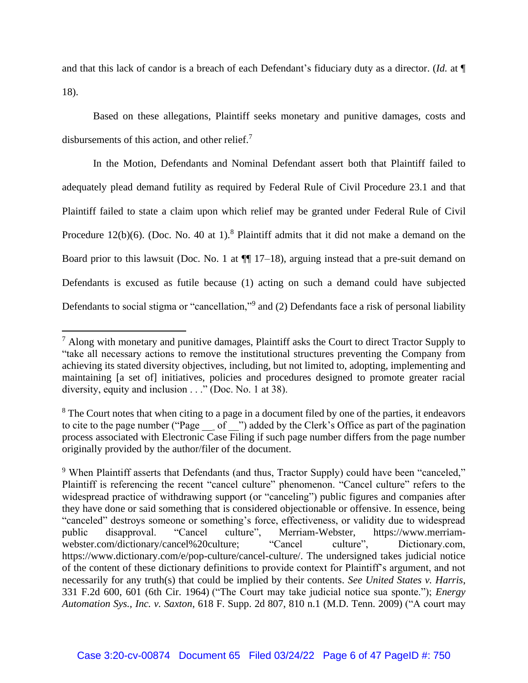and that this lack of candor is a breach of each Defendant's fiduciary duty as a director. (*Id.* at ¶ 18).

Based on these allegations, Plaintiff seeks monetary and punitive damages, costs and disbursements of this action, and other relief.<sup>7</sup>

In the Motion, Defendants and Nominal Defendant assert both that Plaintiff failed to adequately plead demand futility as required by Federal Rule of Civil Procedure 23.1 and that Plaintiff failed to state a claim upon which relief may be granted under Federal Rule of Civil Procedure 12(b)(6). (Doc. No. 40 at 1).<sup>8</sup> Plaintiff admits that it did not make a demand on the Board prior to this lawsuit (Doc. No. 1 at  $\P$  17–18), arguing instead that a pre-suit demand on Defendants is excused as futile because (1) acting on such a demand could have subjected Defendants to social stigma or "cancellation,"<sup>9</sup> and (2) Defendants face a risk of personal liability

 $<sup>7</sup>$  Along with monetary and punitive damages, Plaintiff asks the Court to direct Tractor Supply to</sup> "take all necessary actions to remove the institutional structures preventing the Company from achieving its stated diversity objectives, including, but not limited to, adopting, implementing and maintaining [a set of] initiatives, policies and procedures designed to promote greater racial diversity, equity and inclusion . . ." (Doc. No. 1 at 38).

 $8$  The Court notes that when citing to a page in a document filed by one of the parties, it endeavors to cite to the page number ("Page \_\_ of \_") added by the Clerk's Office as part of the pagination process associated with Electronic Case Filing if such page number differs from the page number originally provided by the author/filer of the document.

<sup>&</sup>lt;sup>9</sup> When Plaintiff asserts that Defendants (and thus, Tractor Supply) could have been "canceled," Plaintiff is referencing the recent "cancel culture" phenomenon. "Cancel culture" refers to the widespread practice of withdrawing support (or "canceling") public figures and companies after they have done or said something that is considered objectionable or offensive. In essence, being "canceled" destroys someone or something's force, effectiveness, or validity due to widespread public disapproval. "Cancel culture", Merriam-Webster, https://www.merriamwebster.com/dictionary/cancel%20culture; "Cancel culture", Dictionary.com, https://www.dictionary.com/e/pop-culture/cancel-culture/. The undersigned takes judicial notice of the content of these dictionary definitions to provide context for Plaintiff's argument, and not necessarily for any truth(s) that could be implied by their contents. *See United States v. Harris*, 331 F.2d 600, 601 (6th Cir. 1964) ("The Court may take judicial notice sua sponte."); *Energy Automation Sys., Inc. v. Saxton*, 618 F. Supp. 2d 807, 810 n.1 (M.D. Tenn. 2009) ("A court may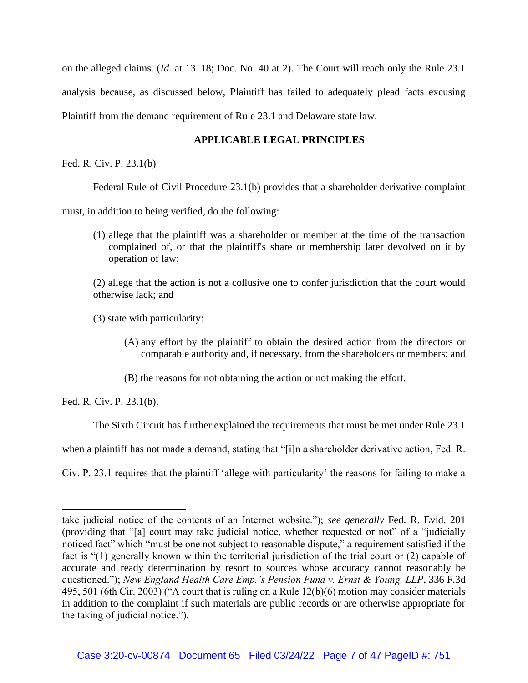on the alleged claims. (*Id.* at 13–18; Doc. No. 40 at 2). The Court will reach only the Rule 23.1 analysis because, as discussed below, Plaintiff has failed to adequately plead facts excusing Plaintiff from the demand requirement of Rule 23.1 and Delaware state law.

# **APPLICABLE LEGAL PRINCIPLES**

Fed. R. Civ. P. 23.1(b)

Federal Rule of Civil Procedure 23.1(b) provides that a shareholder derivative complaint

must, in addition to being verified, do the following:

(1) allege that the plaintiff was a shareholder or member at the time of the transaction complained of, or that the plaintiff's share or membership later devolved on it by operation of law;

(2) allege that the action is not a collusive one to confer jurisdiction that the court would otherwise lack; and

(3) state with particularity:

- (A) any effort by the plaintiff to obtain the desired action from the directors or comparable authority and, if necessary, from the shareholders or members; and
- (B) the reasons for not obtaining the action or not making the effort.

Fed. R. Civ. P. 23.1(b).

The Sixth Circuit has further explained the requirements that must be met under Rule 23.1

when a plaintiff has not made a demand, stating that "[i]n a shareholder derivative action, Fed. R.

Civ. P. 23.1 requires that the plaintiff 'allege with particularity' the reasons for failing to make a

take judicial notice of the contents of an Internet website."); *see generally* Fed. R. Evid. 201 (providing that "[a] court may take judicial notice, whether requested or not" of a "judicially noticed fact" which "must be one not subject to reasonable dispute," a requirement satisfied if the fact is "(1) generally known within the territorial jurisdiction of the trial court or (2) capable of accurate and ready determination by resort to sources whose accuracy cannot reasonably be questioned."); *New England Health Care Emp.'s Pension Fund v. Ernst & Young, LLP*, 336 F.3d 495, 501 (6th Cir. 2003) ("A court that is ruling on a Rule 12(b)(6) motion may consider materials in addition to the complaint if such materials are public records or are otherwise appropriate for the taking of judicial notice.").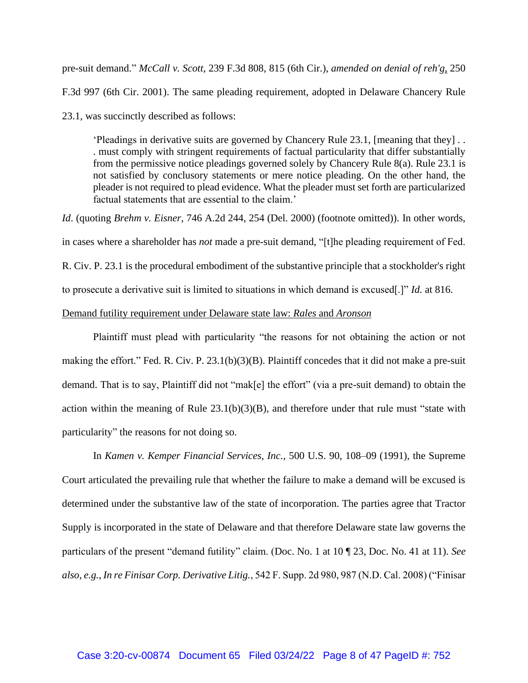pre-suit demand." *McCall v. Scott*, 239 F.3d 808, 815 (6th Cir.), *amended on denial of reh'g*, 250 F.3d 997 (6th Cir. 2001). The same pleading requirement, adopted in Delaware Chancery Rule 23.1, was succinctly described as follows:

'Pleadings in derivative suits are governed by Chancery Rule 23.1, [meaning that they] . . . must comply with stringent requirements of factual particularity that differ substantially from the permissive notice pleadings governed solely by Chancery Rule 8(a). Rule 23.1 is not satisfied by conclusory statements or mere notice pleading. On the other hand, the pleader is not required to plead evidence. What the pleader must set forth are particularized factual statements that are essential to the claim.'

*Id*. (quoting *Brehm v. Eisner*, 746 A.2d 244, 254 (Del. 2000) (footnote omitted)). In other words, in cases where a shareholder has *not* made a pre-suit demand, "[t]he pleading requirement of Fed. R. Civ. P. 23.1 is the procedural embodiment of the substantive principle that a stockholder's right to prosecute a derivative suit is limited to situations in which demand is excused[.]" *Id.* at 816. Demand futility requirement under Delaware state law: *Rales* and *Aronson*

Plaintiff must plead with particularity "the reasons for not obtaining the action or not making the effort." Fed. R. Civ. P. 23.1(b)(3)(B). Plaintiff concedes that it did not make a pre-suit demand. That is to say, Plaintiff did not "mak[e] the effort" (via a pre-suit demand) to obtain the action within the meaning of Rule  $23.1(b)(3)(B)$ , and therefore under that rule must "state with particularity" the reasons for not doing so.

In *Kamen v. Kemper Financial Services, Inc*., 500 U.S. 90, 108–09 (1991), the Supreme Court articulated the prevailing rule that whether the failure to make a demand will be excused is determined under the substantive law of the state of incorporation. The parties agree that Tractor Supply is incorporated in the state of Delaware and that therefore Delaware state law governs the particulars of the present "demand futility" claim. (Doc. No. 1 at 10 ¶ 23, Doc. No. 41 at 11). *See also*, *e.g.*, *In re Finisar Corp. Derivative Litig.*, 542 F. Supp. 2d 980, 987 (N.D. Cal. 2008) ("Finisar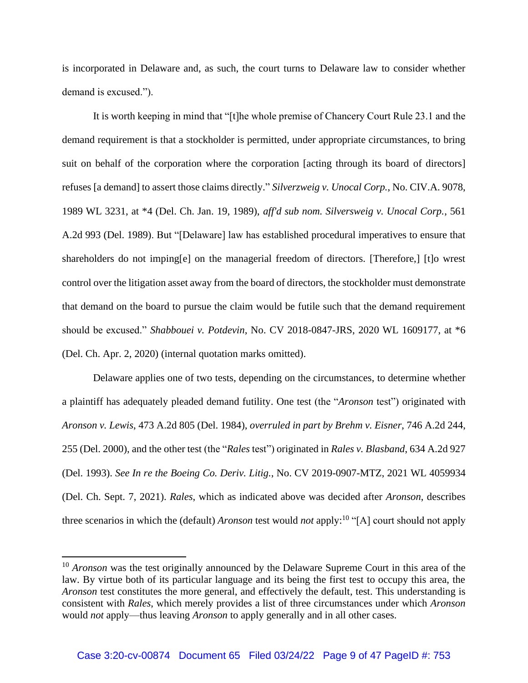is incorporated in Delaware and, as such, the court turns to Delaware law to consider whether demand is excused.").

It is worth keeping in mind that "[t]he whole premise of Chancery Court Rule 23.1 and the demand requirement is that a stockholder is permitted, under appropriate circumstances, to bring suit on behalf of the corporation where the corporation [acting through its board of directors] refuses [a demand] to assert those claims directly." *Silverzweig v. Unocal Corp.*, No. CIV.A. 9078, 1989 WL 3231, at \*4 (Del. Ch. Jan. 19, 1989), *aff'd sub nom. Silversweig v. Unocal Corp.*, 561 A.2d 993 (Del. 1989). But "[Delaware] law has established procedural imperatives to ensure that shareholders do not imping[e] on the managerial freedom of directors. [Therefore,] [t]o wrest control over the litigation asset away from the board of directors, the stockholder must demonstrate that demand on the board to pursue the claim would be futile such that the demand requirement should be excused." *Shabbouei v. Potdevin*, No. CV 2018-0847-JRS, 2020 WL 1609177, at \*6 (Del. Ch. Apr. 2, 2020) (internal quotation marks omitted).

Delaware applies one of two tests, depending on the circumstances, to determine whether a plaintiff has adequately pleaded demand futility. One test (the "*Aronson* test") originated with *Aronson v. Lewis*, 473 A.2d 805 (Del. 1984), *overruled in part by Brehm v. Eisner*, 746 A.2d 244, 255 (Del. 2000), and the other test (the "*Rales* test") originated in *Rales v. Blasband*, 634 A.2d 927 (Del. 1993). *See In re the Boeing Co. Deriv. Litig.*, No. CV 2019-0907-MTZ, 2021 WL 4059934 (Del. Ch. Sept. 7, 2021). *Rales*, which as indicated above was decided after *Aronson*, describes three scenarios in which the (default) *Aronson* test would *not* apply:<sup>10</sup> "[A] court should not apply

<sup>&</sup>lt;sup>10</sup> *Aronson* was the test originally announced by the Delaware Supreme Court in this area of the law. By virtue both of its particular language and its being the first test to occupy this area, the *Aronson* test constitutes the more general, and effectively the default, test. This understanding is consistent with *Rales*, which merely provides a list of three circumstances under which *Aronson* would *not* apply—thus leaving *Aronson* to apply generally and in all other cases.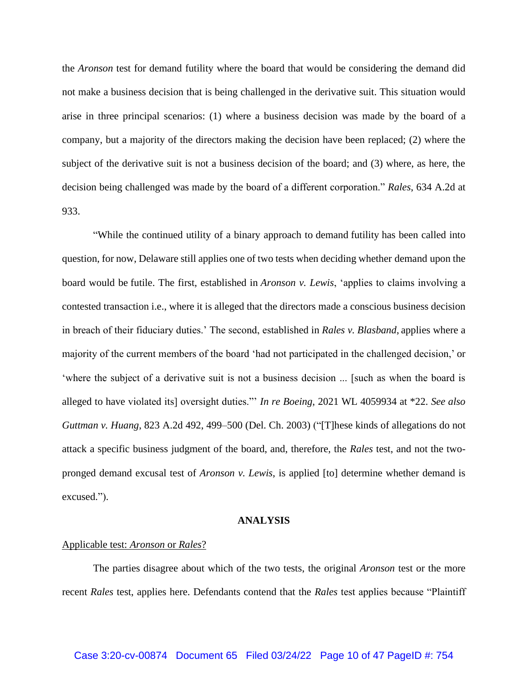the *Aronson* test for demand futility where the board that would be considering the demand did not make a business decision that is being challenged in the derivative suit. This situation would arise in three principal scenarios: (1) where a business decision was made by the board of a company, but a majority of the directors making the decision have been replaced; (2) where the subject of the derivative suit is not a business decision of the board; and (3) where, as here, the decision being challenged was made by the board of a different corporation." *Rales*, 634 A.2d at 933.

"While the continued utility of a binary approach to demand futility has been called into question, for now, Delaware still applies one of two tests when deciding whether demand upon the board would be futile. The first, established in *Aronson v. Lewis*, 'applies to claims involving a contested transaction i.e., where it is alleged that the directors made a conscious business decision in breach of their fiduciary duties.' The second, established in *Rales v. Blasband*, applies where a majority of the current members of the board 'had not participated in the challenged decision,' or 'where the subject of a derivative suit is not a business decision ... [such as when the board is alleged to have violated its] oversight duties."' *In re Boeing*, 2021 WL 4059934 at \*22. *See also Guttman v. Huang*, 823 A.2d 492, 499–500 (Del. Ch. 2003) ("[T]hese kinds of allegations do not attack a specific business judgment of the board, and, therefore, the *Rales* test, and not the twopronged demand excusal test of *Aronson v. Lewis*, is applied [to] determine whether demand is excused.").

#### **ANALYSIS**

#### Applicable test: *Aronson* or *Rales*?

The parties disagree about which of the two tests, the original *Aronson* test or the more recent *Rales* test, applies here. Defendants contend that the *Rales* test applies because "Plaintiff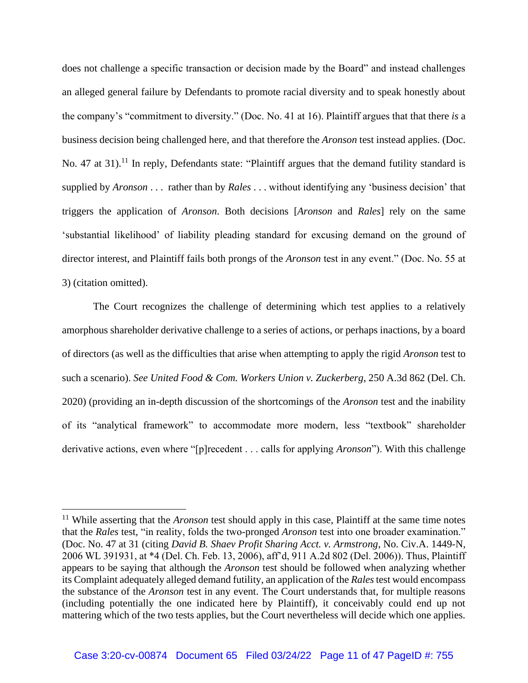does not challenge a specific transaction or decision made by the Board" and instead challenges an alleged general failure by Defendants to promote racial diversity and to speak honestly about the company's "commitment to diversity." (Doc. No. 41 at 16). Plaintiff argues that that there *is* a business decision being challenged here, and that therefore the *Aronson* test instead applies. (Doc. No. 47 at 31).<sup>11</sup> In reply, Defendants state: "Plaintiff argues that the demand futility standard is supplied by *Aronson* . . . rather than by *Rales* . . . without identifying any 'business decision' that triggers the application of *Aronson*. Both decisions [*Aronson* and *Rales*] rely on the same 'substantial likelihood' of liability pleading standard for excusing demand on the ground of director interest, and Plaintiff fails both prongs of the *Aronson* test in any event." (Doc. No. 55 at 3) (citation omitted).

The Court recognizes the challenge of determining which test applies to a relatively amorphous shareholder derivative challenge to a series of actions, or perhaps inactions, by a board of directors (as well as the difficulties that arise when attempting to apply the rigid *Aronson* test to such a scenario). *See United Food & Com. Workers Union v. Zuckerberg*, 250 A.3d 862 (Del. Ch. 2020) (providing an in-depth discussion of the shortcomings of the *Aronson* test and the inability of its "analytical framework" to accommodate more modern, less "textbook" shareholder derivative actions, even where "[p]recedent . . . calls for applying *Aronson*"). With this challenge

<sup>&</sup>lt;sup>11</sup> While asserting that the *Aronson* test should apply in this case, Plaintiff at the same time notes that the *Rales* test, "in reality, folds the two-pronged *Aronson* test into one broader examination." (Doc. No. 47 at 31 (citing *David B. Shaev Profit Sharing Acct. v. Armstrong*, No. Civ.A. 1449-N, 2006 WL 391931, at \*4 (Del. Ch. Feb. 13, 2006), aff'd, 911 A.2d 802 (Del. 2006)). Thus, Plaintiff appears to be saying that although the *Aronson* test should be followed when analyzing whether its Complaint adequately alleged demand futility, an application of the *Rales* test would encompass the substance of the *Aronson* test in any event. The Court understands that, for multiple reasons (including potentially the one indicated here by Plaintiff), it conceivably could end up not mattering which of the two tests applies, but the Court nevertheless will decide which one applies.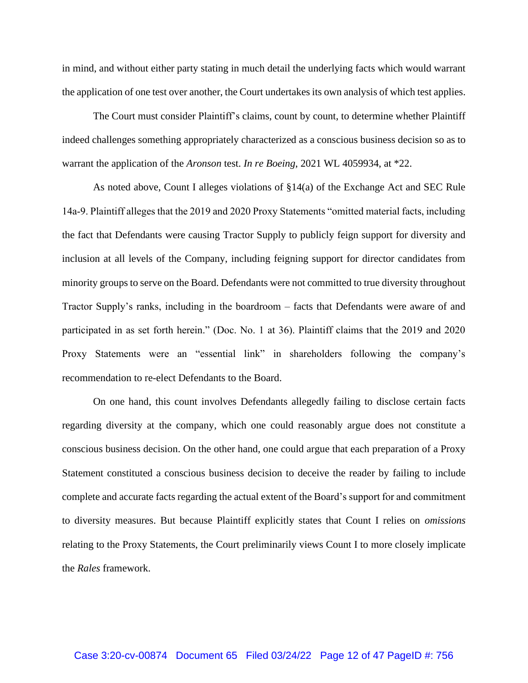in mind, and without either party stating in much detail the underlying facts which would warrant the application of one test over another, the Court undertakes its own analysis of which test applies.

The Court must consider Plaintiff's claims, count by count, to determine whether Plaintiff indeed challenges something appropriately characterized as a conscious business decision so as to warrant the application of the *Aronson* test. *In re Boeing*, 2021 WL 4059934, at \*22.

As noted above, Count I alleges violations of §14(a) of the Exchange Act and SEC Rule 14a‐9. Plaintiff alleges that the 2019 and 2020 Proxy Statements "omitted material facts, including the fact that Defendants were causing Tractor Supply to publicly feign support for diversity and inclusion at all levels of the Company, including feigning support for director candidates from minority groups to serve on the Board. Defendants were not committed to true diversity throughout Tractor Supply's ranks, including in the boardroom – facts that Defendants were aware of and participated in as set forth herein." (Doc. No. 1 at 36). Plaintiff claims that the 2019 and 2020 Proxy Statements were an "essential link" in shareholders following the company's recommendation to re-elect Defendants to the Board.

On one hand, this count involves Defendants allegedly failing to disclose certain facts regarding diversity at the company, which one could reasonably argue does not constitute a conscious business decision. On the other hand, one could argue that each preparation of a Proxy Statement constituted a conscious business decision to deceive the reader by failing to include complete and accurate facts regarding the actual extent of the Board's support for and commitment to diversity measures. But because Plaintiff explicitly states that Count I relies on *omissions*  relating to the Proxy Statements, the Court preliminarily views Count I to more closely implicate the *Rales* framework.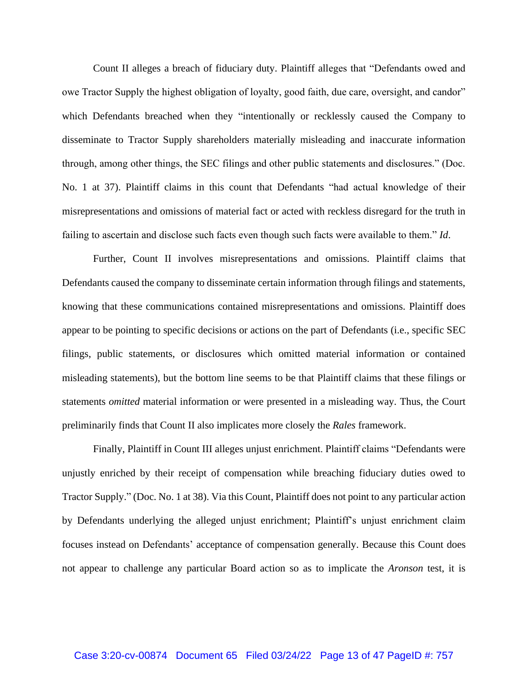Count II alleges a breach of fiduciary duty. Plaintiff alleges that "Defendants owed and owe Tractor Supply the highest obligation of loyalty, good faith, due care, oversight, and candor" which Defendants breached when they "intentionally or recklessly caused the Company to disseminate to Tractor Supply shareholders materially misleading and inaccurate information through, among other things, the SEC filings and other public statements and disclosures." (Doc. No. 1 at 37). Plaintiff claims in this count that Defendants "had actual knowledge of their misrepresentations and omissions of material fact or acted with reckless disregard for the truth in failing to ascertain and disclose such facts even though such facts were available to them." *Id*.

Further, Count II involves misrepresentations and omissions. Plaintiff claims that Defendants caused the company to disseminate certain information through filings and statements, knowing that these communications contained misrepresentations and omissions. Plaintiff does appear to be pointing to specific decisions or actions on the part of Defendants (i.e., specific SEC filings, public statements, or disclosures which omitted material information or contained misleading statements), but the bottom line seems to be that Plaintiff claims that these filings or statements *omitted* material information or were presented in a misleading way. Thus, the Court preliminarily finds that Count II also implicates more closely the *Rales* framework.

Finally, Plaintiff in Count III alleges unjust enrichment. Plaintiff claims "Defendants were unjustly enriched by their receipt of compensation while breaching fiduciary duties owed to Tractor Supply." (Doc. No. 1 at 38). Via this Count, Plaintiff does not point to any particular action by Defendants underlying the alleged unjust enrichment; Plaintiff's unjust enrichment claim focuses instead on Defendants' acceptance of compensation generally. Because this Count does not appear to challenge any particular Board action so as to implicate the *Aronson* test, it is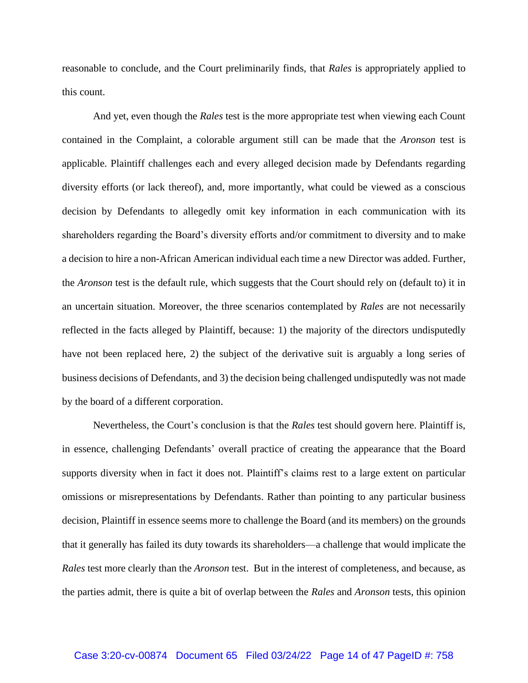reasonable to conclude, and the Court preliminarily finds, that *Rales* is appropriately applied to this count.

And yet, even though the *Rales* test is the more appropriate test when viewing each Count contained in the Complaint, a colorable argument still can be made that the *Aronson* test is applicable. Plaintiff challenges each and every alleged decision made by Defendants regarding diversity efforts (or lack thereof), and, more importantly, what could be viewed as a conscious decision by Defendants to allegedly omit key information in each communication with its shareholders regarding the Board's diversity efforts and/or commitment to diversity and to make a decision to hire a non-African American individual each time a new Director was added. Further, the *Aronson* test is the default rule, which suggests that the Court should rely on (default to) it in an uncertain situation. Moreover, the three scenarios contemplated by *Rales* are not necessarily reflected in the facts alleged by Plaintiff, because: 1) the majority of the directors undisputedly have not been replaced here, 2) the subject of the derivative suit is arguably a long series of business decisions of Defendants, and 3) the decision being challenged undisputedly was not made by the board of a different corporation.

Nevertheless, the Court's conclusion is that the *Rales* test should govern here. Plaintiff is, in essence, challenging Defendants' overall practice of creating the appearance that the Board supports diversity when in fact it does not. Plaintiff's claims rest to a large extent on particular omissions or misrepresentations by Defendants. Rather than pointing to any particular business decision, Plaintiff in essence seems more to challenge the Board (and its members) on the grounds that it generally has failed its duty towards its shareholders—a challenge that would implicate the *Rales* test more clearly than the *Aronson* test. But in the interest of completeness, and because, as the parties admit, there is quite a bit of overlap between the *Rales* and *Aronson* tests, this opinion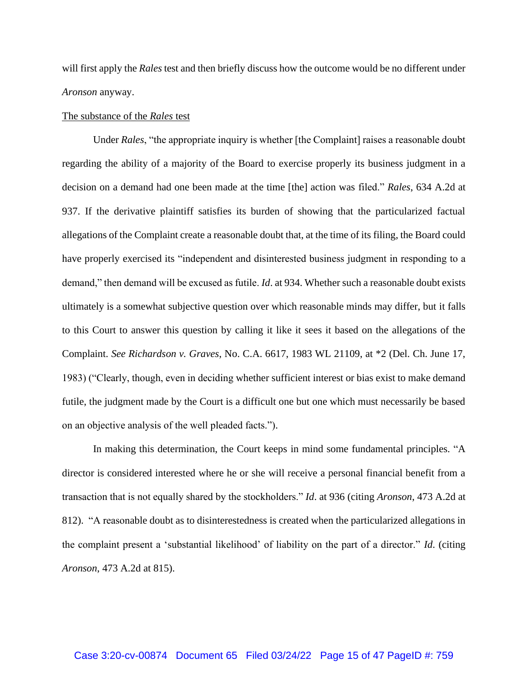will first apply the *Rales* test and then briefly discuss how the outcome would be no different under *Aronson* anyway.

#### The substance of the *Rales* test

Under *Rales*, "the appropriate inquiry is whether [the Complaint] raises a reasonable doubt regarding the ability of a majority of the Board to exercise properly its business judgment in a decision on a demand had one been made at the time [the] action was filed." *Rales*, 634 A.2d at 937. If the derivative plaintiff satisfies its burden of showing that the particularized factual allegations of the Complaint create a reasonable doubt that, at the time of its filing, the Board could have properly exercised its "independent and disinterested business judgment in responding to a demand," then demand will be excused as futile. *Id*. at 934. Whether such a reasonable doubt exists ultimately is a somewhat subjective question over which reasonable minds may differ, but it falls to this Court to answer this question by calling it like it sees it based on the allegations of the Complaint. *See Richardson v. Graves*, No. C.A. 6617, 1983 WL 21109, at \*2 (Del. Ch. June 17, 1983) ("Clearly, though, even in deciding whether sufficient interest or bias exist to make demand futile, the judgment made by the Court is a difficult one but one which must necessarily be based on an objective analysis of the well pleaded facts.").

In making this determination, the Court keeps in mind some fundamental principles. "A director is considered interested where he or she will receive a personal financial benefit from a transaction that is not equally shared by the stockholders." *Id*. at 936 (citing *Aronson*, 473 A.2d at 812). "A reasonable doubt as to disinterestedness is created when the particularized allegations in the complaint present a 'substantial likelihood' of liability on the part of a director." *Id*. (citing *Aronson*, 473 A.2d at 815).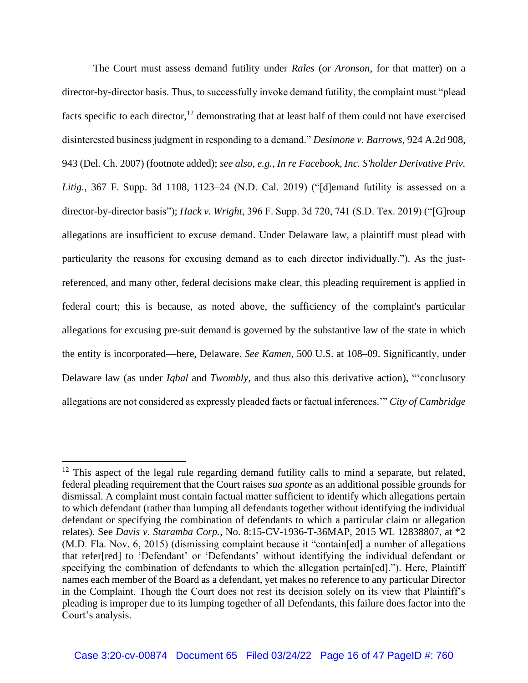The Court must assess demand futility under *Rales* (or *Aronson*, for that matter) on a director-by-director basis. Thus, to successfully invoke demand futility, the complaint must "plead facts specific to each director,<sup>12</sup> demonstrating that at least half of them could not have exercised disinterested business judgment in responding to a demand." *Desimone v. Barrows*, 924 A.2d 908, 943 (Del. Ch. 2007) (footnote added); *see also, e.g., In re Facebook, Inc. S'holder Derivative Priv. Litig.*, 367 F. Supp. 3d 1108, 1123–24 (N.D. Cal. 2019) ("[d]emand futility is assessed on a director-by-director basis"); *Hack v. Wright*, 396 F. Supp. 3d 720, 741 (S.D. Tex. 2019) ("[G]roup allegations are insufficient to excuse demand. Under Delaware law, a plaintiff must plead with particularity the reasons for excusing demand as to each director individually."). As the justreferenced, and many other, federal decisions make clear, this pleading requirement is applied in federal court; this is because, as noted above, the sufficiency of the complaint's particular allegations for excusing pre-suit demand is governed by the substantive law of the state in which the entity is incorporated—here, Delaware. *See Kamen*, 500 U.S. at 108–09. Significantly, under Delaware law (as under *Iqbal* and *Twombly*, and thus also this derivative action), "'conclusory allegations are not considered as expressly pleaded facts or factual inferences.'" *City of Cambridge* 

 $12$  This aspect of the legal rule regarding demand futility calls to mind a separate, but related, federal pleading requirement that the Court raises *sua sponte* as an additional possible grounds for dismissal. A complaint must contain factual matter sufficient to identify which allegations pertain to which defendant (rather than lumping all defendants together without identifying the individual defendant or specifying the combination of defendants to which a particular claim or allegation relates). See *Davis v. Staramba Corp.*, No. 8:15-CV-1936-T-36MAP, 2015 WL 12838807, at \*2 (M.D. Fla. Nov. 6, 2015) (dismissing complaint because it "contain[ed] a number of allegations that refer[red] to 'Defendant' or 'Defendants' without identifying the individual defendant or specifying the combination of defendants to which the allegation pertain[ed]."). Here, Plaintiff names each member of the Board as a defendant, yet makes no reference to any particular Director in the Complaint. Though the Court does not rest its decision solely on its view that Plaintiff's pleading is improper due to its lumping together of all Defendants, this failure does factor into the Court's analysis.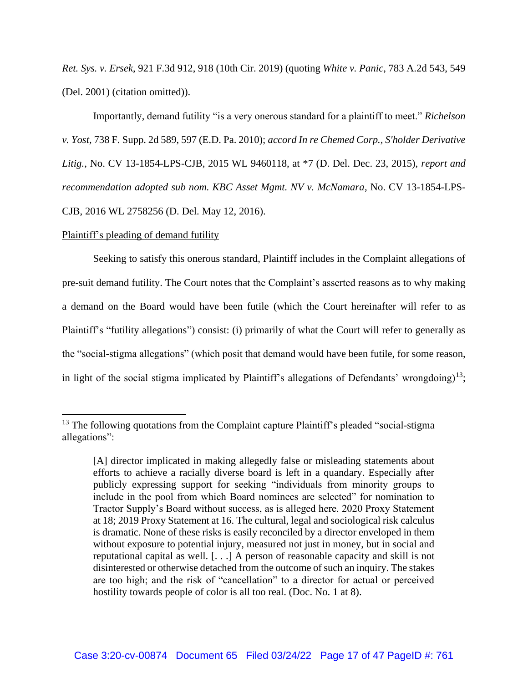*Ret. Sys. v. Ersek*, 921 F.3d 912, 918 (10th Cir. 2019) (quoting *White v. Panic*, 783 A.2d 543, 549 (Del. 2001) (citation omitted)).

Importantly, demand futility "is a very onerous standard for a plaintiff to meet." *Richelson v. Yost,* 738 F. Supp. 2d 589, 597 (E.D. Pa. 2010); *accord In re Chemed Corp., S'holder Derivative Litig.*, No. CV 13-1854-LPS-CJB, 2015 WL 9460118, at \*7 (D. Del. Dec. 23, 2015), *report and recommendation adopted sub nom. KBC Asset Mgmt. NV v. McNamara*, No. CV 13-1854-LPS-CJB, 2016 WL 2758256 (D. Del. May 12, 2016).

#### Plaintiff's pleading of demand futility

Seeking to satisfy this onerous standard, Plaintiff includes in the Complaint allegations of pre-suit demand futility. The Court notes that the Complaint's asserted reasons as to why making a demand on the Board would have been futile (which the Court hereinafter will refer to as Plaintiff's "futility allegations") consist: (i) primarily of what the Court will refer to generally as the "social-stigma allegations" (which posit that demand would have been futile, for some reason, in light of the social stigma implicated by Plaintiff's allegations of Defendants' wrongdoing)<sup>13</sup>;

 $13$  The following quotations from the Complaint capture Plaintiff's pleaded "social-stigma" allegations":

<sup>[</sup>A] director implicated in making allegedly false or misleading statements about efforts to achieve a racially diverse board is left in a quandary. Especially after publicly expressing support for seeking "individuals from minority groups to include in the pool from which Board nominees are selected" for nomination to Tractor Supply's Board without success, as is alleged here. 2020 Proxy Statement at 18; 2019 Proxy Statement at 16. The cultural, legal and sociological risk calculus is dramatic. None of these risks is easily reconciled by a director enveloped in them without exposure to potential injury, measured not just in money, but in social and reputational capital as well. [. . .] A person of reasonable capacity and skill is not disinterested or otherwise detached from the outcome of such an inquiry. The stakes are too high; and the risk of "cancellation" to a director for actual or perceived hostility towards people of color is all too real. (Doc. No. 1 at 8).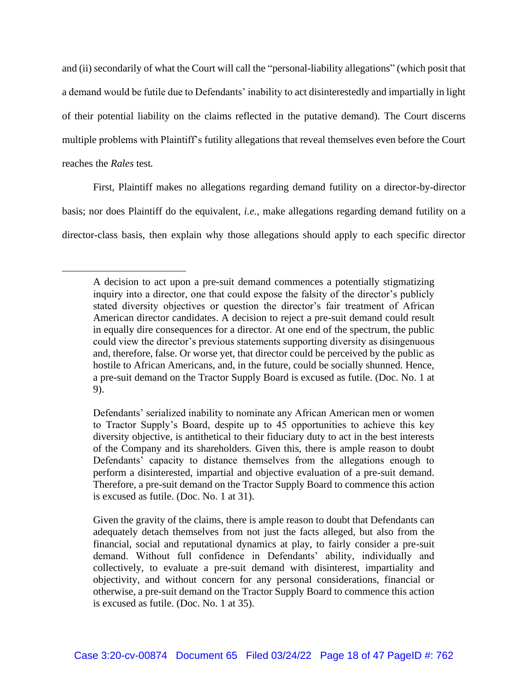and (ii) secondarily of what the Court will call the "personal-liability allegations" (which posit that a demand would be futile due to Defendants' inability to act disinterestedly and impartially in light of their potential liability on the claims reflected in the putative demand). The Court discerns multiple problems with Plaintiff's futility allegations that reveal themselves even before the Court reaches the *Rales* test*.*

First, Plaintiff makes no allegations regarding demand futility on a director-by-director basis; nor does Plaintiff do the equivalent, *i.e.*, make allegations regarding demand futility on a director-class basis, then explain why those allegations should apply to each specific director

Defendants' serialized inability to nominate any African American men or women to Tractor Supply's Board, despite up to 45 opportunities to achieve this key diversity objective, is antithetical to their fiduciary duty to act in the best interests of the Company and its shareholders. Given this, there is ample reason to doubt Defendants' capacity to distance themselves from the allegations enough to perform a disinterested, impartial and objective evaluation of a pre-suit demand. Therefore, a pre-suit demand on the Tractor Supply Board to commence this action is excused as futile. (Doc. No. 1 at 31).

Given the gravity of the claims, there is ample reason to doubt that Defendants can adequately detach themselves from not just the facts alleged, but also from the financial, social and reputational dynamics at play, to fairly consider a pre-suit demand. Without full confidence in Defendants' ability, individually and collectively, to evaluate a pre-suit demand with disinterest, impartiality and objectivity, and without concern for any personal considerations, financial or otherwise, a pre-suit demand on the Tractor Supply Board to commence this action is excused as futile. (Doc. No. 1 at 35).

A decision to act upon a pre-suit demand commences a potentially stigmatizing inquiry into a director, one that could expose the falsity of the director's publicly stated diversity objectives or question the director's fair treatment of African American director candidates. A decision to reject a pre-suit demand could result in equally dire consequences for a director. At one end of the spectrum, the public could view the director's previous statements supporting diversity as disingenuous and, therefore, false. Or worse yet, that director could be perceived by the public as hostile to African Americans, and, in the future, could be socially shunned. Hence, a pre-suit demand on the Tractor Supply Board is excused as futile. (Doc. No. 1 at 9).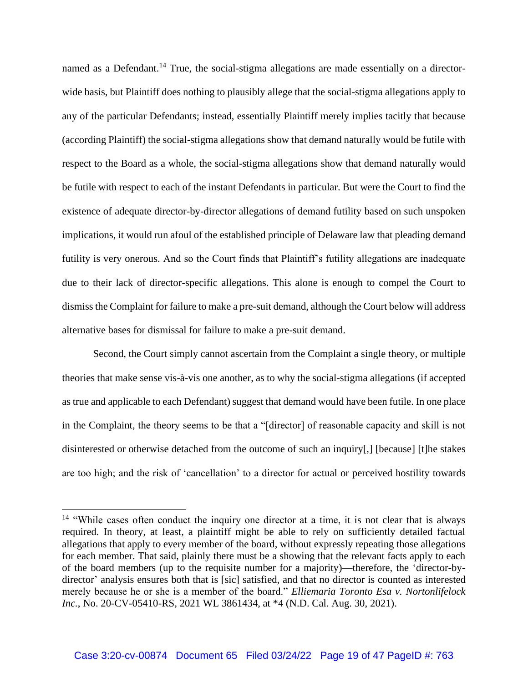named as a Defendant.<sup>14</sup> True, the social-stigma allegations are made essentially on a directorwide basis, but Plaintiff does nothing to plausibly allege that the social-stigma allegations apply to any of the particular Defendants; instead, essentially Plaintiff merely implies tacitly that because (according Plaintiff) the social-stigma allegations show that demand naturally would be futile with respect to the Board as a whole, the social-stigma allegations show that demand naturally would be futile with respect to each of the instant Defendants in particular. But were the Court to find the existence of adequate director-by-director allegations of demand futility based on such unspoken implications, it would run afoul of the established principle of Delaware law that pleading demand futility is very onerous. And so the Court finds that Plaintiff's futility allegations are inadequate due to their lack of director-specific allegations. This alone is enough to compel the Court to dismiss the Complaint for failure to make a pre-suit demand, although the Court below will address alternative bases for dismissal for failure to make a pre-suit demand.

Second, the Court simply cannot ascertain from the Complaint a single theory, or multiple theories that make sense vis-à-vis one another, as to why the social-stigma allegations (if accepted as true and applicable to each Defendant) suggest that demand would have been futile. In one place in the Complaint, the theory seems to be that a "[director] of reasonable capacity and skill is not disinterested or otherwise detached from the outcome of such an inquiry[,] [because] [t]he stakes are too high; and the risk of 'cancellation' to a director for actual or perceived hostility towards

<sup>&</sup>lt;sup>14</sup> "While cases often conduct the inquiry one director at a time, it is not clear that is always required. In theory, at least, a plaintiff might be able to rely on sufficiently detailed factual allegations that apply to every member of the board, without expressly repeating those allegations for each member. That said, plainly there must be a showing that the relevant facts apply to each of the board members (up to the requisite number for a majority)—therefore, the 'director-bydirector' analysis ensures both that is [sic] satisfied, and that no director is counted as interested merely because he or she is a member of the board." *Elliemaria Toronto Esa v. Nortonlifelock Inc.*, No. 20-CV-05410-RS, 2021 WL 3861434, at \*4 (N.D. Cal. Aug. 30, 2021).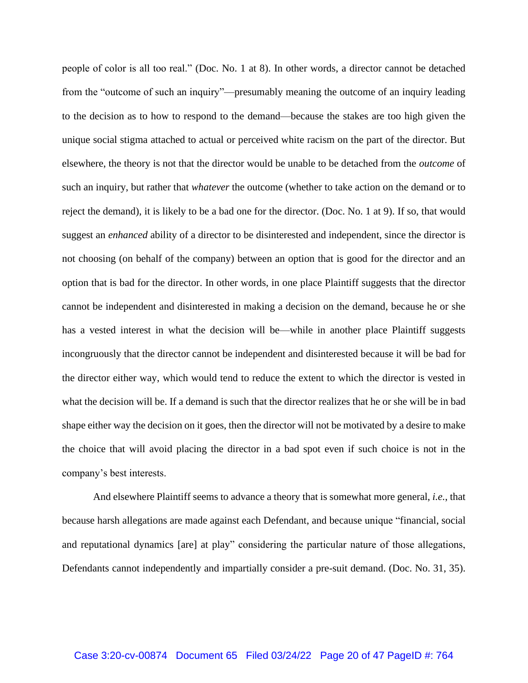people of color is all too real." (Doc. No. 1 at 8). In other words, a director cannot be detached from the "outcome of such an inquiry"—presumably meaning the outcome of an inquiry leading to the decision as to how to respond to the demand—because the stakes are too high given the unique social stigma attached to actual or perceived white racism on the part of the director. But elsewhere, the theory is not that the director would be unable to be detached from the *outcome* of such an inquiry, but rather that *whatever* the outcome (whether to take action on the demand or to reject the demand), it is likely to be a bad one for the director. (Doc. No. 1 at 9). If so, that would suggest an *enhanced* ability of a director to be disinterested and independent, since the director is not choosing (on behalf of the company) between an option that is good for the director and an option that is bad for the director. In other words, in one place Plaintiff suggests that the director cannot be independent and disinterested in making a decision on the demand, because he or she has a vested interest in what the decision will be—while in another place Plaintiff suggests incongruously that the director cannot be independent and disinterested because it will be bad for the director either way, which would tend to reduce the extent to which the director is vested in what the decision will be. If a demand is such that the director realizes that he or she will be in bad shape either way the decision on it goes, then the director will not be motivated by a desire to make the choice that will avoid placing the director in a bad spot even if such choice is not in the company's best interests.

And elsewhere Plaintiff seems to advance a theory that is somewhat more general, *i.e.*, that because harsh allegations are made against each Defendant, and because unique "financial, social and reputational dynamics [are] at play" considering the particular nature of those allegations, Defendants cannot independently and impartially consider a pre-suit demand. (Doc. No. 31, 35).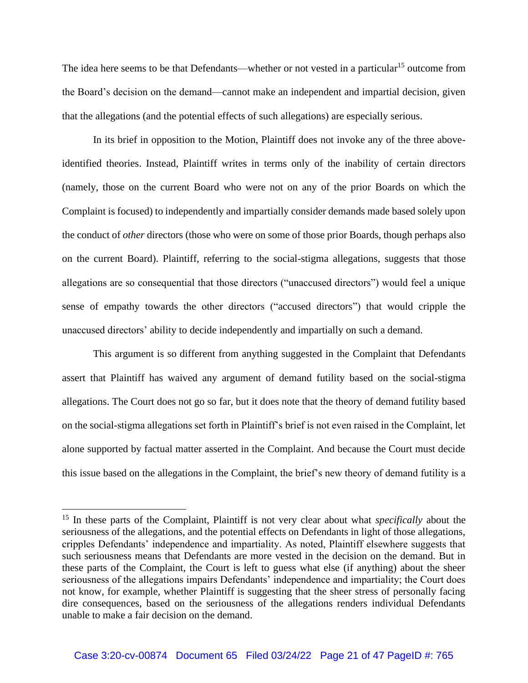The idea here seems to be that Defendants—whether or not vested in a particular<sup>15</sup> outcome from the Board's decision on the demand—cannot make an independent and impartial decision, given that the allegations (and the potential effects of such allegations) are especially serious.

In its brief in opposition to the Motion, Plaintiff does not invoke any of the three aboveidentified theories. Instead, Plaintiff writes in terms only of the inability of certain directors (namely, those on the current Board who were not on any of the prior Boards on which the Complaint is focused) to independently and impartially consider demands made based solely upon the conduct of *other* directors (those who were on some of those prior Boards, though perhaps also on the current Board). Plaintiff, referring to the social-stigma allegations, suggests that those allegations are so consequential that those directors ("unaccused directors") would feel a unique sense of empathy towards the other directors ("accused directors") that would cripple the unaccused directors' ability to decide independently and impartially on such a demand.

This argument is so different from anything suggested in the Complaint that Defendants assert that Plaintiff has waived any argument of demand futility based on the social-stigma allegations. The Court does not go so far, but it does note that the theory of demand futility based on the social-stigma allegations set forth in Plaintiff's brief is not even raised in the Complaint, let alone supported by factual matter asserted in the Complaint. And because the Court must decide this issue based on the allegations in the Complaint, the brief's new theory of demand futility is a

<sup>&</sup>lt;sup>15</sup> In these parts of the Complaint, Plaintiff is not very clear about what *specifically* about the seriousness of the allegations, and the potential effects on Defendants in light of those allegations, cripples Defendants' independence and impartiality. As noted, Plaintiff elsewhere suggests that such seriousness means that Defendants are more vested in the decision on the demand. But in these parts of the Complaint, the Court is left to guess what else (if anything) about the sheer seriousness of the allegations impairs Defendants' independence and impartiality; the Court does not know, for example, whether Plaintiff is suggesting that the sheer stress of personally facing dire consequences, based on the seriousness of the allegations renders individual Defendants unable to make a fair decision on the demand.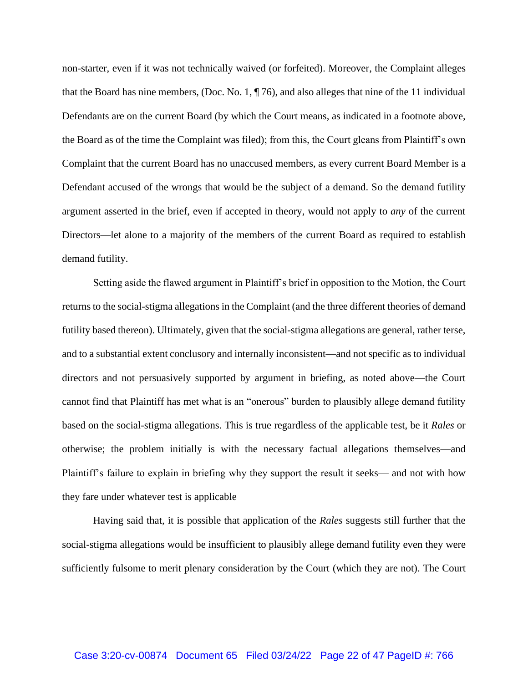non-starter, even if it was not technically waived (or forfeited). Moreover, the Complaint alleges that the Board has nine members, (Doc. No. 1, ¶ 76), and also alleges that nine of the 11 individual Defendants are on the current Board (by which the Court means, as indicated in a footnote above, the Board as of the time the Complaint was filed); from this, the Court gleans from Plaintiff's own Complaint that the current Board has no unaccused members, as every current Board Member is a Defendant accused of the wrongs that would be the subject of a demand. So the demand futility argument asserted in the brief, even if accepted in theory, would not apply to *any* of the current Directors—let alone to a majority of the members of the current Board as required to establish demand futility.

Setting aside the flawed argument in Plaintiff's brief in opposition to the Motion, the Court returns to the social-stigma allegations in the Complaint (and the three different theories of demand futility based thereon). Ultimately, given that the social-stigma allegations are general, rather terse, and to a substantial extent conclusory and internally inconsistent—and not specific as to individual directors and not persuasively supported by argument in briefing, as noted above—the Court cannot find that Plaintiff has met what is an "onerous" burden to plausibly allege demand futility based on the social-stigma allegations. This is true regardless of the applicable test, be it *Rales* or otherwise; the problem initially is with the necessary factual allegations themselves—and Plaintiff's failure to explain in briefing why they support the result it seeks— and not with how they fare under whatever test is applicable

Having said that, it is possible that application of the *Rales* suggests still further that the social-stigma allegations would be insufficient to plausibly allege demand futility even they were sufficiently fulsome to merit plenary consideration by the Court (which they are not). The Court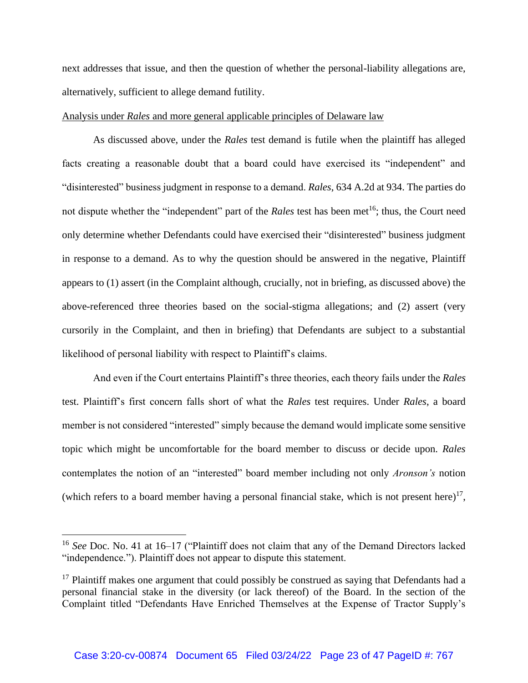next addresses that issue, and then the question of whether the personal-liability allegations are, alternatively, sufficient to allege demand futility.

#### Analysis under *Rales* and more general applicable principles of Delaware law

As discussed above, under the *Rales* test demand is futile when the plaintiff has alleged facts creating a reasonable doubt that a board could have exercised its "independent" and "disinterested" business judgment in response to a demand. *Rales*, 634 A.2d at 934. The parties do not dispute whether the "independent" part of the *Rales* test has been met<sup>16</sup>; thus, the Court need only determine whether Defendants could have exercised their "disinterested" business judgment in response to a demand. As to why the question should be answered in the negative, Plaintiff appears to (1) assert (in the Complaint although, crucially, not in briefing, as discussed above) the above-referenced three theories based on the social-stigma allegations; and (2) assert (very cursorily in the Complaint, and then in briefing) that Defendants are subject to a substantial likelihood of personal liability with respect to Plaintiff's claims.

And even if the Court entertains Plaintiff's three theories, each theory fails under the *Rales* test. Plaintiff's first concern falls short of what the *Rales* test requires. Under *Rales*, a board member is not considered "interested" simply because the demand would implicate some sensitive topic which might be uncomfortable for the board member to discuss or decide upon. *Rales* contemplates the notion of an "interested" board member including not only *Aronson's* notion (which refers to a board member having a personal financial stake, which is not present here)<sup>17</sup>,

<sup>16</sup> *See* Doc. No. 41 at 16–17 ("Plaintiff does not claim that any of the Demand Directors lacked "independence."). Plaintiff does not appear to dispute this statement.

 $17$  Plaintiff makes one argument that could possibly be construed as saying that Defendants had a personal financial stake in the diversity (or lack thereof) of the Board. In the section of the Complaint titled "Defendants Have Enriched Themselves at the Expense of Tractor Supply's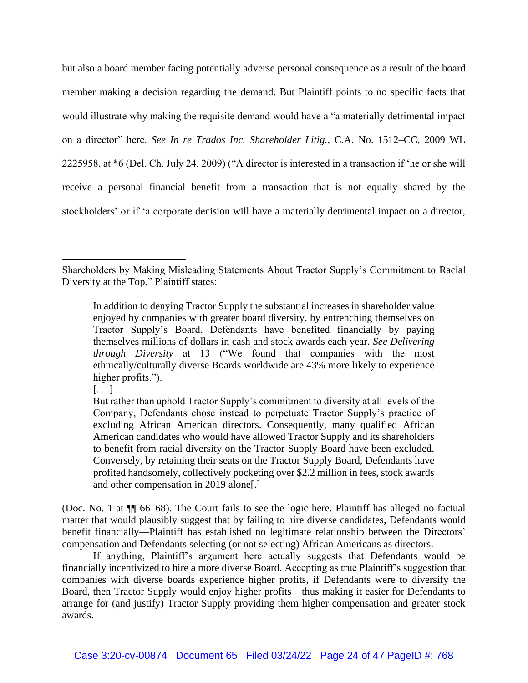but also a board member facing potentially adverse personal consequence as a result of the board member making a decision regarding the demand. But Plaintiff points to no specific facts that would illustrate why making the requisite demand would have a "a materially detrimental impact on a director" here. *See In re Trados Inc. Shareholder Litig.*, C.A. No. 1512–CC, 2009 WL 2225958, at \*6 (Del. Ch. July 24, 2009) ("A director is interested in a transaction if 'he or she will receive a personal financial benefit from a transaction that is not equally shared by the stockholders' or if 'a corporate decision will have a materially detrimental impact on a director,

(Doc. No. 1 at ¶¶ 66–68). The Court fails to see the logic here. Plaintiff has alleged no factual matter that would plausibly suggest that by failing to hire diverse candidates, Defendants would benefit financially—Plaintiff has established no legitimate relationship between the Directors' compensation and Defendants selecting (or not selecting) African Americans as directors.

If anything, Plaintiff's argument here actually suggests that Defendants would be financially incentivized to hire a more diverse Board. Accepting as true Plaintiff's suggestion that companies with diverse boards experience higher profits, if Defendants were to diversify the Board, then Tractor Supply would enjoy higher profits—thus making it easier for Defendants to arrange for (and justify) Tractor Supply providing them higher compensation and greater stock awards.

Shareholders by Making Misleading Statements About Tractor Supply's Commitment to Racial Diversity at the Top," Plaintiff states:

In addition to denying Tractor Supply the substantial increases in shareholder value enjoyed by companies with greater board diversity, by entrenching themselves on Tractor Supply's Board, Defendants have benefited financially by paying themselves millions of dollars in cash and stock awards each year. *See Delivering through Diversity* at 13 ("We found that companies with the most ethnically/culturally diverse Boards worldwide are 43% more likely to experience higher profits.").

 $\left[ \ldots \right]$ 

But rather than uphold Tractor Supply's commitment to diversity at all levels of the Company, Defendants chose instead to perpetuate Tractor Supply's practice of excluding African American directors. Consequently, many qualified African American candidates who would have allowed Tractor Supply and its shareholders to benefit from racial diversity on the Tractor Supply Board have been excluded. Conversely, by retaining their seats on the Tractor Supply Board, Defendants have profited handsomely, collectively pocketing over \$2.2 million in fees, stock awards and other compensation in 2019 alone[.]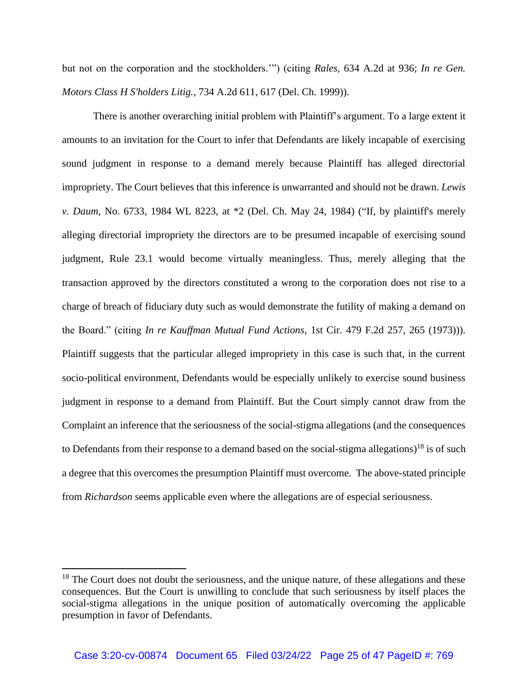but not on the corporation and the stockholders.'") (citing *Rales*, 634 A.2d at 936; *In re Gen. Motors Class H S'holders Litig.*, 734 A.2d 611, 617 (Del. Ch. 1999)).

There is another overarching initial problem with Plaintiff's argument. To a large extent it amounts to an invitation for the Court to infer that Defendants are likely incapable of exercising sound judgment in response to a demand merely because Plaintiff has alleged directorial impropriety. The Court believes that this inference is unwarranted and should not be drawn. *Lewis v. Daum*, No. 6733, 1984 WL 8223, at \*2 (Del. Ch. May 24, 1984) ("If, by plaintiff's merely alleging directorial impropriety the directors are to be presumed incapable of exercising sound judgment, Rule 23.1 would become virtually meaningless. Thus, merely alleging that the transaction approved by the directors constituted a wrong to the corporation does not rise to a charge of breach of fiduciary duty such as would demonstrate the futility of making a demand on the Board." (citing *In re Kauffman Mutual Fund Actions*, 1st Cir. 479 F.2d 257, 265 (1973))). Plaintiff suggests that the particular alleged impropriety in this case is such that, in the current socio-political environment, Defendants would be especially unlikely to exercise sound business judgment in response to a demand from Plaintiff. But the Court simply cannot draw from the Complaint an inference that the seriousness of the social-stigma allegations (and the consequences to Defendants from their response to a demand based on the social-stigma allegations)<sup>18</sup> is of such a degree that this overcomes the presumption Plaintiff must overcome. The above-stated principle from *Richardson* seems applicable even where the allegations are of especial seriousness.

 $18$  The Court does not doubt the seriousness, and the unique nature, of these allegations and these consequences. But the Court is unwilling to conclude that such seriousness by itself places the social-stigma allegations in the unique position of automatically overcoming the applicable presumption in favor of Defendants.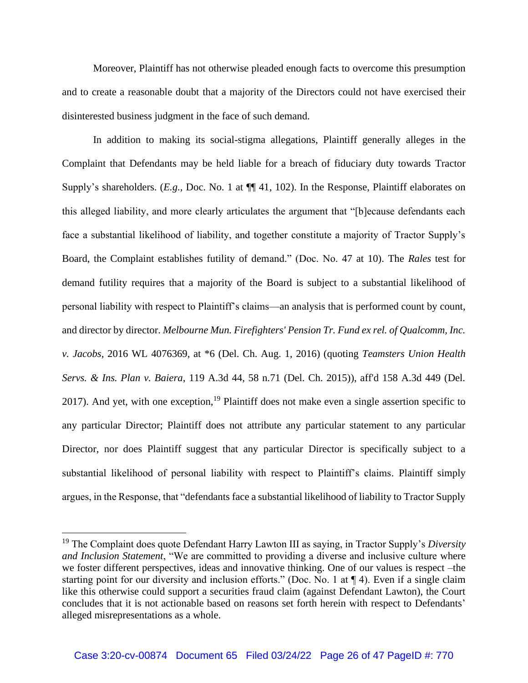Moreover, Plaintiff has not otherwise pleaded enough facts to overcome this presumption and to create a reasonable doubt that a majority of the Directors could not have exercised their disinterested business judgment in the face of such demand.

In addition to making its social-stigma allegations, Plaintiff generally alleges in the Complaint that Defendants may be held liable for a breach of fiduciary duty towards Tractor Supply's shareholders. (*E.g.*, Doc. No. 1 at  $\P$  41, 102). In the Response, Plaintiff elaborates on this alleged liability, and more clearly articulates the argument that "[b]ecause defendants each face a substantial likelihood of liability, and together constitute a majority of Tractor Supply's Board, the Complaint establishes futility of demand." (Doc. No. 47 at 10). The *Rales* test for demand futility requires that a majority of the Board is subject to a substantial likelihood of personal liability with respect to Plaintiff's claims—an analysis that is performed count by count, and director by director. *Melbourne Mun. Firefighters' Pension Tr. Fund ex rel. of Qualcomm, Inc. v. Jacobs*, 2016 WL 4076369, at \*6 (Del. Ch. Aug. 1, 2016) (quoting *Teamsters Union Health Servs. & Ins. Plan v. Baiera*, 119 A.3d 44, 58 n.71 (Del. Ch. 2015)), aff'd 158 A.3d 449 (Del. 2017). And yet, with one exception,  $19$  Plaintiff does not make even a single assertion specific to any particular Director; Plaintiff does not attribute any particular statement to any particular Director, nor does Plaintiff suggest that any particular Director is specifically subject to a substantial likelihood of personal liability with respect to Plaintiff's claims. Plaintiff simply argues, in the Response, that "defendants face a substantial likelihood of liability to Tractor Supply

<sup>19</sup> The Complaint does quote Defendant Harry Lawton III as saying, in Tractor Supply's *Diversity and Inclusion Statement*, "We are committed to providing a diverse and inclusive culture where we foster different perspectives, ideas and innovative thinking. One of our values is respect –the starting point for our diversity and inclusion efforts." (Doc. No. 1 at ¶ 4). Even if a single claim like this otherwise could support a securities fraud claim (against Defendant Lawton), the Court concludes that it is not actionable based on reasons set forth herein with respect to Defendants' alleged misrepresentations as a whole.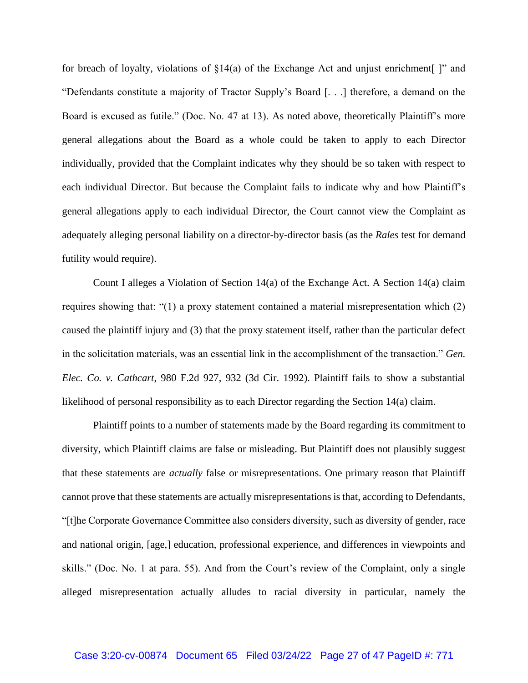for breach of loyalty, violations of  $\S14(a)$  of the Exchange Act and unjust enrichment |" and "Defendants constitute a majority of Tractor Supply's Board [. . .] therefore, a demand on the Board is excused as futile." (Doc. No. 47 at 13). As noted above, theoretically Plaintiff's more general allegations about the Board as a whole could be taken to apply to each Director individually, provided that the Complaint indicates why they should be so taken with respect to each individual Director. But because the Complaint fails to indicate why and how Plaintiff's general allegations apply to each individual Director, the Court cannot view the Complaint as adequately alleging personal liability on a director-by-director basis (as the *Rales* test for demand futility would require).

Count I alleges a Violation of Section 14(a) of the Exchange Act. A Section 14(a) claim requires showing that: "(1) a proxy statement contained a material misrepresentation which (2) caused the plaintiff injury and (3) that the proxy statement itself, rather than the particular defect in the solicitation materials, was an essential link in the accomplishment of the transaction." *Gen. Elec. Co. v. Cathcart*, 980 F.2d 927, 932 (3d Cir. 1992). Plaintiff fails to show a substantial likelihood of personal responsibility as to each Director regarding the Section 14(a) claim.

Plaintiff points to a number of statements made by the Board regarding its commitment to diversity, which Plaintiff claims are false or misleading. But Plaintiff does not plausibly suggest that these statements are *actually* false or misrepresentations. One primary reason that Plaintiff cannot prove that these statements are actually misrepresentations is that, according to Defendants, "[t]he Corporate Governance Committee also considers diversity, such as diversity of gender, race and national origin, [age,] education, professional experience, and differences in viewpoints and skills." (Doc. No. 1 at para. 55). And from the Court's review of the Complaint, only a single alleged misrepresentation actually alludes to racial diversity in particular, namely the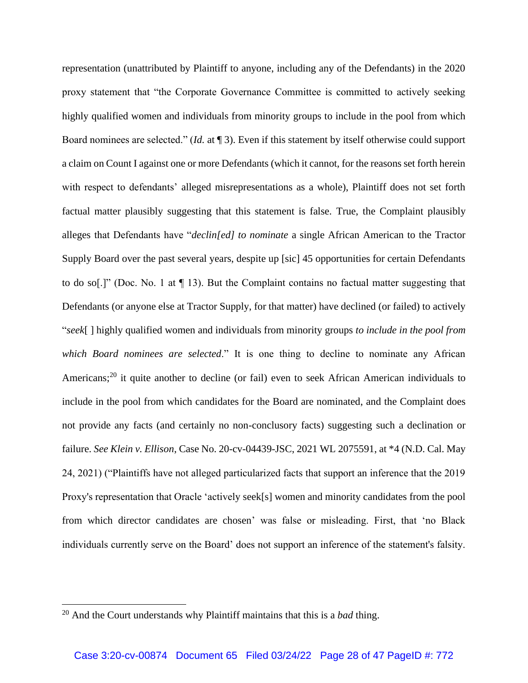representation (unattributed by Plaintiff to anyone, including any of the Defendants) in the 2020 proxy statement that "the Corporate Governance Committee is committed to actively seeking highly qualified women and individuals from minority groups to include in the pool from which Board nominees are selected." (*Id.* at ¶ 3). Even if this statement by itself otherwise could support a claim on Count I against one or more Defendants (which it cannot, for the reasons set forth herein with respect to defendants' alleged misrepresentations as a whole), Plaintiff does not set forth factual matter plausibly suggesting that this statement is false. True, the Complaint plausibly alleges that Defendants have "*declin[ed] to nominate* a single African American to the Tractor Supply Board over the past several years, despite up [sic] 45 opportunities for certain Defendants to do so[.]" (Doc. No. 1 at ¶ 13). But the Complaint contains no factual matter suggesting that Defendants (or anyone else at Tractor Supply, for that matter) have declined (or failed) to actively "*seek*[ ] highly qualified women and individuals from minority groups *to include in the pool from which Board nominees are selected*." It is one thing to decline to nominate any African Americans;<sup>20</sup> it quite another to decline (or fail) even to seek African American individuals to include in the pool from which candidates for the Board are nominated, and the Complaint does not provide any facts (and certainly no non-conclusory facts) suggesting such a declination or failure. *See Klein v. Ellison*, Case No. 20-cv-04439-JSC, 2021 WL 2075591, at \*4 (N.D. Cal. May 24, 2021) ("Plaintiffs have not alleged particularized facts that support an inference that the 2019 Proxy's representation that Oracle 'actively seek[s] women and minority candidates from the pool from which director candidates are chosen' was false or misleading. First, that 'no Black individuals currently serve on the Board' does not support an inference of the statement's falsity.

<sup>20</sup> And the Court understands why Plaintiff maintains that this is a *bad* thing.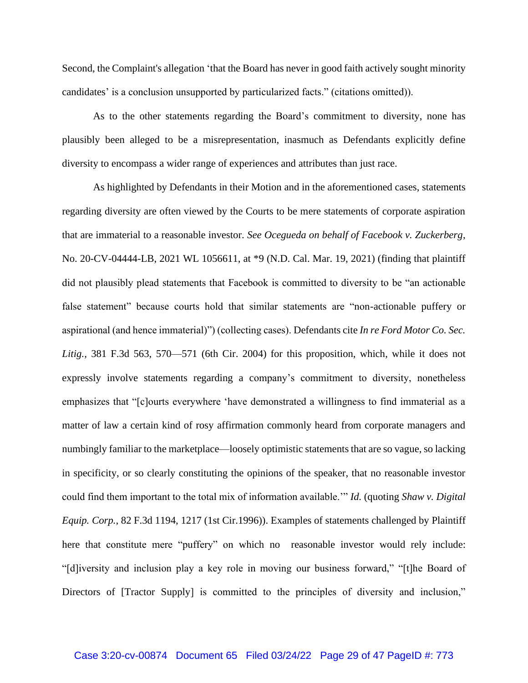Second, the Complaint's allegation 'that the Board has never in good faith actively sought minority candidates' is a conclusion unsupported by particularized facts." (citations omitted)).

As to the other statements regarding the Board's commitment to diversity, none has plausibly been alleged to be a misrepresentation, inasmuch as Defendants explicitly define diversity to encompass a wider range of experiences and attributes than just race.

As highlighted by Defendants in their Motion and in the aforementioned cases, statements regarding diversity are often viewed by the Courts to be mere statements of corporate aspiration that are immaterial to a reasonable investor. *See Ocegueda on behalf of Facebook v. Zuckerberg*, No. 20-CV-04444-LB, 2021 WL 1056611, at \*9 (N.D. Cal. Mar. 19, 2021) (finding that plaintiff did not plausibly plead statements that Facebook is committed to diversity to be "an actionable false statement" because courts hold that similar statements are "non-actionable puffery or aspirational (and hence immaterial)") (collecting cases). Defendants cite *In re Ford Motor Co. Sec.*  Litig., 381 F.3d 563, 570—571 (6th Cir. 2004) for this proposition, which, while it does not expressly involve statements regarding a company's commitment to diversity, nonetheless emphasizes that "[c]ourts everywhere 'have demonstrated a willingness to find immaterial as a matter of law a certain kind of rosy affirmation commonly heard from corporate managers and numbingly familiar to the marketplace—loosely optimistic statements that are so vague, so lacking in specificity, or so clearly constituting the opinions of the speaker, that no reasonable investor could find them important to the total mix of information available.'" *Id.* (quoting *Shaw v. Digital Equip. Corp.*, 82 F.3d 1194, 1217 (1st Cir.1996)). Examples of statements challenged by Plaintiff here that constitute mere "puffery" on which no reasonable investor would rely include: "[d]iversity and inclusion play a key role in moving our business forward," "[t]he Board of Directors of [Tractor Supply] is committed to the principles of diversity and inclusion,"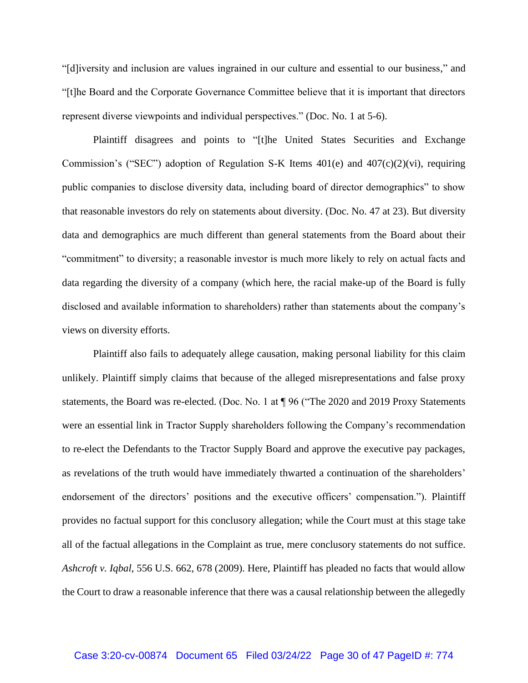"[d]iversity and inclusion are values ingrained in our culture and essential to our business," and "[t]he Board and the Corporate Governance Committee believe that it is important that directors represent diverse viewpoints and individual perspectives." (Doc. No. 1 at 5-6).

Plaintiff disagrees and points to "[t]he United States Securities and Exchange Commission's ("SEC") adoption of Regulation S-K Items 401(e) and 407(c)(2)(vi), requiring public companies to disclose diversity data, including board of director demographics" to show that reasonable investors do rely on statements about diversity. (Doc. No. 47 at 23). But diversity data and demographics are much different than general statements from the Board about their "commitment" to diversity; a reasonable investor is much more likely to rely on actual facts and data regarding the diversity of a company (which here, the racial make-up of the Board is fully disclosed and available information to shareholders) rather than statements about the company's views on diversity efforts.

Plaintiff also fails to adequately allege causation, making personal liability for this claim unlikely. Plaintiff simply claims that because of the alleged misrepresentations and false proxy statements, the Board was re-elected. (Doc. No. 1 at ¶ 96 ("The 2020 and 2019 Proxy Statements were an essential link in Tractor Supply shareholders following the Company's recommendation to re-elect the Defendants to the Tractor Supply Board and approve the executive pay packages, as revelations of the truth would have immediately thwarted a continuation of the shareholders' endorsement of the directors' positions and the executive officers' compensation."). Plaintiff provides no factual support for this conclusory allegation; while the Court must at this stage take all of the factual allegations in the Complaint as true, mere conclusory statements do not suffice. *Ashcroft v. Iqbal*, 556 U.S. 662, 678 (2009). Here, Plaintiff has pleaded no facts that would allow the Court to draw a reasonable inference that there was a causal relationship between the allegedly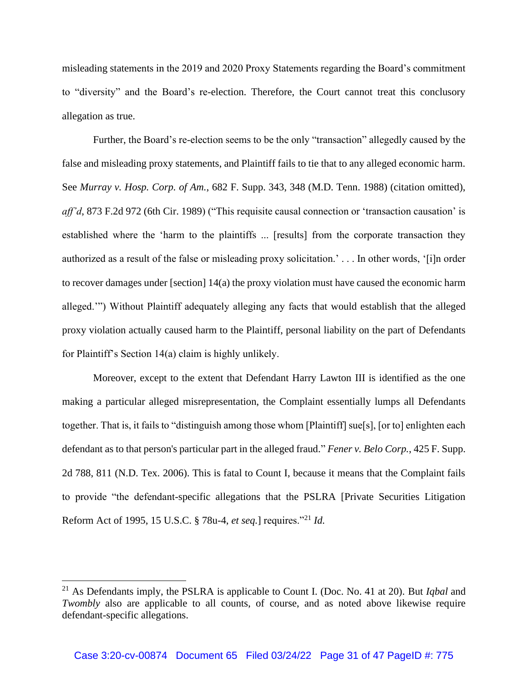misleading statements in the 2019 and 2020 Proxy Statements regarding the Board's commitment to "diversity" and the Board's re-election. Therefore, the Court cannot treat this conclusory allegation as true.

Further, the Board's re-election seems to be the only "transaction" allegedly caused by the false and misleading proxy statements, and Plaintiff fails to tie that to any alleged economic harm. See *Murray v. Hosp. Corp. of Am.*, 682 F. Supp. 343, 348 (M.D. Tenn. 1988) (citation omitted), *aff'd*, 873 F.2d 972 (6th Cir. 1989) ("This requisite causal connection or 'transaction causation' is established where the 'harm to the plaintiffs ... [results] from the corporate transaction they authorized as a result of the false or misleading proxy solicitation.' . . . In other words, '[i]n order to recover damages under [section] 14(a) the proxy violation must have caused the economic harm alleged.'") Without Plaintiff adequately alleging any facts that would establish that the alleged proxy violation actually caused harm to the Plaintiff, personal liability on the part of Defendants for Plaintiff's Section 14(a) claim is highly unlikely.

Moreover, except to the extent that Defendant Harry Lawton III is identified as the one making a particular alleged misrepresentation, the Complaint essentially lumps all Defendants together. That is, it fails to "distinguish among those whom [Plaintiff] sue[s], [or to] enlighten each defendant as to that person's particular part in the alleged fraud." *Fener v. Belo Corp.*, 425 F. Supp. 2d 788, 811 (N.D. Tex. 2006). This is fatal to Count I, because it means that the Complaint fails to provide "the defendant-specific allegations that the PSLRA [Private Securities Litigation Reform Act of 1995, 15 U.S.C. § 78u-4, *et seq.*] requires."<sup>21</sup> *Id.*

<sup>21</sup> As Defendants imply, the PSLRA is applicable to Count I. (Doc. No. 41 at 20). But *Iqbal* and *Twombly* also are applicable to all counts, of course, and as noted above likewise require defendant-specific allegations.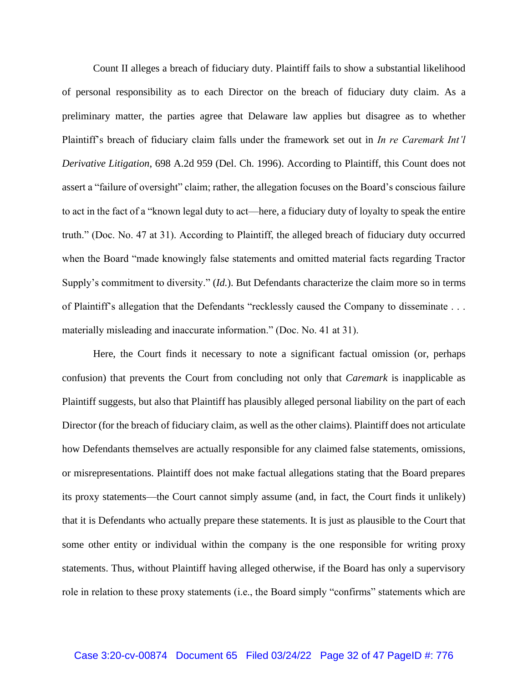Count II alleges a breach of fiduciary duty. Plaintiff fails to show a substantial likelihood of personal responsibility as to each Director on the breach of fiduciary duty claim. As a preliminary matter, the parties agree that Delaware law applies but disagree as to whether Plaintiff's breach of fiduciary claim falls under the framework set out in *In re Caremark Int'l Derivative Litigation*, 698 A.2d 959 (Del. Ch. 1996). According to Plaintiff, this Count does not assert a "failure of oversight" claim; rather, the allegation focuses on the Board's conscious failure to act in the fact of a "known legal duty to act—here, a fiduciary duty of loyalty to speak the entire truth." (Doc. No. 47 at 31). According to Plaintiff, the alleged breach of fiduciary duty occurred when the Board "made knowingly false statements and omitted material facts regarding Tractor Supply's commitment to diversity." (*Id.*). But Defendants characterize the claim more so in terms of Plaintiff's allegation that the Defendants "recklessly caused the Company to disseminate . . . materially misleading and inaccurate information." (Doc. No. 41 at 31).

Here, the Court finds it necessary to note a significant factual omission (or, perhaps confusion) that prevents the Court from concluding not only that *Caremark* is inapplicable as Plaintiff suggests, but also that Plaintiff has plausibly alleged personal liability on the part of each Director (for the breach of fiduciary claim, as well as the other claims). Plaintiff does not articulate how Defendants themselves are actually responsible for any claimed false statements, omissions, or misrepresentations. Plaintiff does not make factual allegations stating that the Board prepares its proxy statements—the Court cannot simply assume (and, in fact, the Court finds it unlikely) that it is Defendants who actually prepare these statements. It is just as plausible to the Court that some other entity or individual within the company is the one responsible for writing proxy statements. Thus, without Plaintiff having alleged otherwise, if the Board has only a supervisory role in relation to these proxy statements (i.e., the Board simply "confirms" statements which are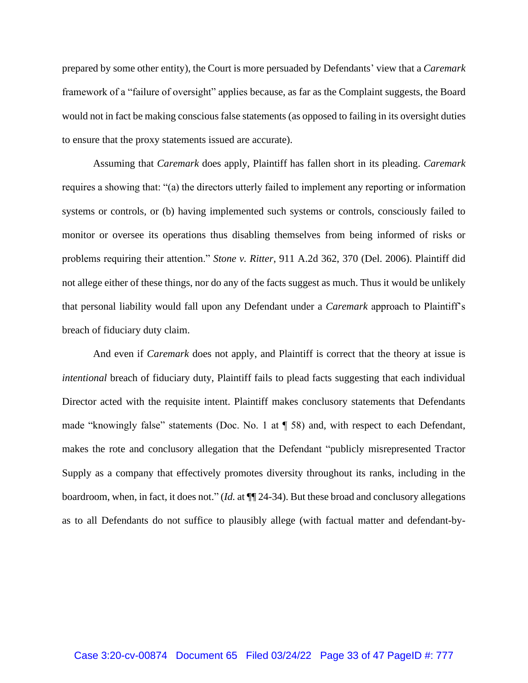prepared by some other entity), the Court is more persuaded by Defendants' view that a *Caremark*  framework of a "failure of oversight" applies because, as far as the Complaint suggests, the Board would not in fact be making conscious false statements (as opposed to failing in its oversight duties to ensure that the proxy statements issued are accurate).

Assuming that *Caremark* does apply, Plaintiff has fallen short in its pleading. *Caremark* requires a showing that: "(a) the directors utterly failed to implement any reporting or information systems or controls, or (b) having implemented such systems or controls, consciously failed to monitor or oversee its operations thus disabling themselves from being informed of risks or problems requiring their attention." *Stone v. Ritter*, 911 A.2d 362, 370 (Del. 2006). Plaintiff did not allege either of these things, nor do any of the facts suggest as much. Thus it would be unlikely that personal liability would fall upon any Defendant under a *Caremark* approach to Plaintiff's breach of fiduciary duty claim.

And even if *Caremark* does not apply, and Plaintiff is correct that the theory at issue is *intentional* breach of fiduciary duty, Plaintiff fails to plead facts suggesting that each individual Director acted with the requisite intent. Plaintiff makes conclusory statements that Defendants made "knowingly false" statements (Doc. No. 1 at ¶ 58) and, with respect to each Defendant, makes the rote and conclusory allegation that the Defendant "publicly misrepresented Tractor Supply as a company that effectively promotes diversity throughout its ranks, including in the boardroom, when, in fact, it does not." (*Id.* at ¶¶ 24-34). But these broad and conclusory allegations as to all Defendants do not suffice to plausibly allege (with factual matter and defendant-by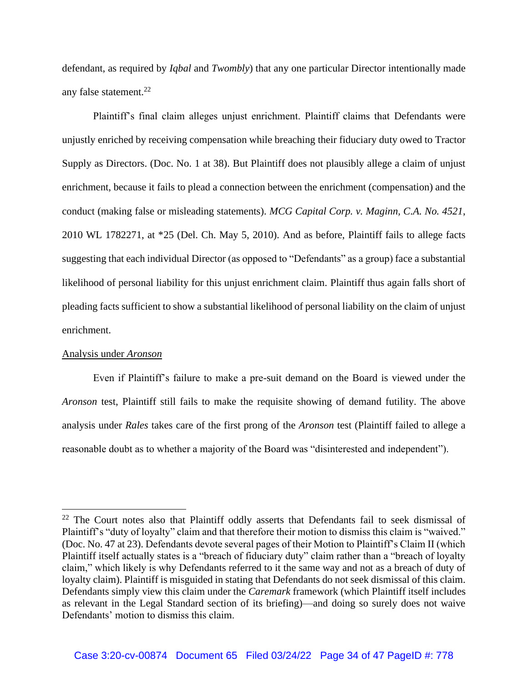defendant, as required by *Iqbal* and *Twombly*) that any one particular Director intentionally made any false statement. 22

Plaintiff's final claim alleges unjust enrichment. Plaintiff claims that Defendants were unjustly enriched by receiving compensation while breaching their fiduciary duty owed to Tractor Supply as Directors. (Doc. No. 1 at 38). But Plaintiff does not plausibly allege a claim of unjust enrichment, because it fails to plead a connection between the enrichment (compensation) and the conduct (making false or misleading statements). *MCG Capital Corp. v. Maginn, C.A. No. 4521*, 2010 WL 1782271, at \*25 (Del. Ch. May 5, 2010). And as before, Plaintiff fails to allege facts suggesting that each individual Director (as opposed to "Defendants" as a group) face a substantial likelihood of personal liability for this unjust enrichment claim. Plaintiff thus again falls short of pleading facts sufficient to show a substantial likelihood of personal liability on the claim of unjust enrichment.

## Analysis under *Aronson*

Even if Plaintiff's failure to make a pre-suit demand on the Board is viewed under the *Aronson* test, Plaintiff still fails to make the requisite showing of demand futility. The above analysis under *Rales* takes care of the first prong of the *Aronson* test (Plaintiff failed to allege a reasonable doubt as to whether a majority of the Board was "disinterested and independent").

<sup>&</sup>lt;sup>22</sup> The Court notes also that Plaintiff oddly asserts that Defendants fail to seek dismissal of Plaintiff's "duty of loyalty" claim and that therefore their motion to dismiss this claim is "waived." (Doc. No. 47 at 23). Defendants devote several pages of their Motion to Plaintiff's Claim II (which Plaintiff itself actually states is a "breach of fiduciary duty" claim rather than a "breach of loyalty claim," which likely is why Defendants referred to it the same way and not as a breach of duty of loyalty claim). Plaintiff is misguided in stating that Defendants do not seek dismissal of this claim. Defendants simply view this claim under the *Caremark* framework (which Plaintiff itself includes as relevant in the Legal Standard section of its briefing)—and doing so surely does not waive Defendants' motion to dismiss this claim.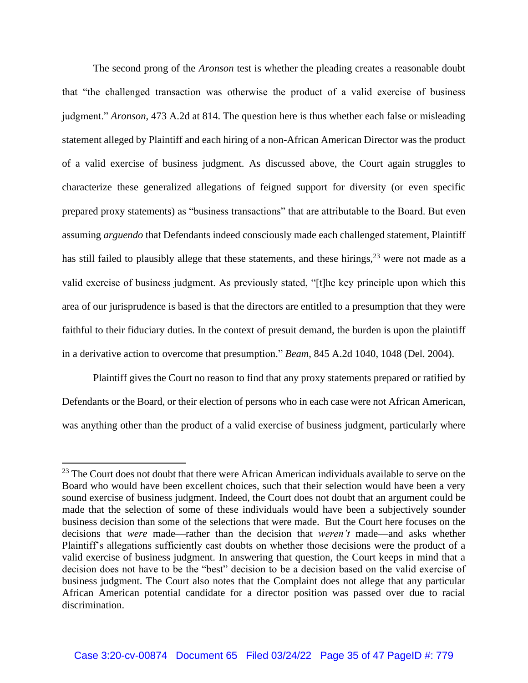The second prong of the *Aronson* test is whether the pleading creates a reasonable doubt that "the challenged transaction was otherwise the product of a valid exercise of business judgment." *Aronson*, 473 A.2d at 814. The question here is thus whether each false or misleading statement alleged by Plaintiff and each hiring of a non-African American Director was the product of a valid exercise of business judgment. As discussed above, the Court again struggles to characterize these generalized allegations of feigned support for diversity (or even specific prepared proxy statements) as "business transactions" that are attributable to the Board. But even assuming *arguendo* that Defendants indeed consciously made each challenged statement, Plaintiff has still failed to plausibly allege that these statements, and these hirings,  $2<sup>3</sup>$  were not made as a valid exercise of business judgment. As previously stated, "[t]he key principle upon which this area of our jurisprudence is based is that the directors are entitled to a presumption that they were faithful to their fiduciary duties. In the context of presuit demand, the burden is upon the plaintiff in a derivative action to overcome that presumption." *Beam*, 845 A.2d 1040, 1048 (Del. 2004).

Plaintiff gives the Court no reason to find that any proxy statements prepared or ratified by Defendants or the Board, or their election of persons who in each case were not African American, was anything other than the product of a valid exercise of business judgment, particularly where

<sup>&</sup>lt;sup>23</sup> The Court does not doubt that there were African American individuals available to serve on the Board who would have been excellent choices, such that their selection would have been a very sound exercise of business judgment. Indeed, the Court does not doubt that an argument could be made that the selection of some of these individuals would have been a subjectively sounder business decision than some of the selections that were made. But the Court here focuses on the decisions that *were* made—rather than the decision that *weren't* made—and asks whether Plaintiff's allegations sufficiently cast doubts on whether those decisions were the product of a valid exercise of business judgment. In answering that question, the Court keeps in mind that a decision does not have to be the "best" decision to be a decision based on the valid exercise of business judgment. The Court also notes that the Complaint does not allege that any particular African American potential candidate for a director position was passed over due to racial discrimination.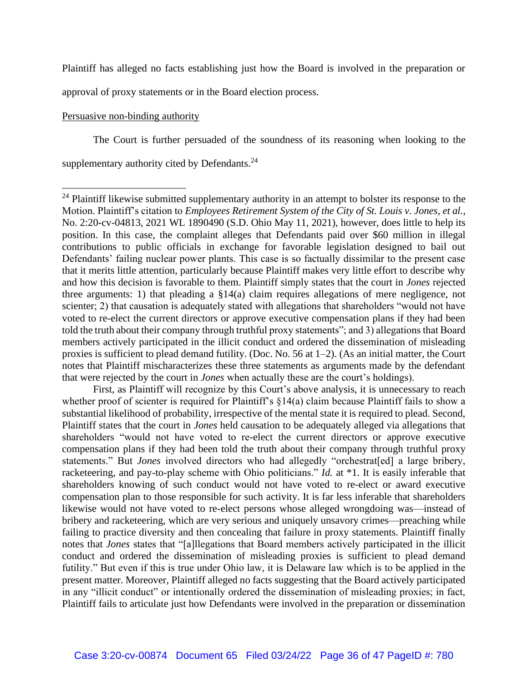Plaintiff has alleged no facts establishing just how the Board is involved in the preparation or

approval of proxy statements or in the Board election process.

## Persuasive non-binding authority

The Court is further persuaded of the soundness of its reasoning when looking to the supplementary authority cited by Defendants.<sup>24</sup>

First, as Plaintiff will recognize by this Court's above analysis, it is unnecessary to reach whether proof of scienter is required for Plaintiff's §14(a) claim because Plaintiff fails to show a substantial likelihood of probability, irrespective of the mental state it is required to plead. Second, Plaintiff states that the court in *Jones* held causation to be adequately alleged via allegations that shareholders "would not have voted to re-elect the current directors or approve executive compensation plans if they had been told the truth about their company through truthful proxy statements." But *Jones* involved directors who had allegedly "orchestrat[ed] a large bribery, racketeering, and pay-to-play scheme with Ohio politicians." *Id.* at \*1. It is easily inferable that shareholders knowing of such conduct would not have voted to re-elect or award executive compensation plan to those responsible for such activity. It is far less inferable that shareholders likewise would not have voted to re-elect persons whose alleged wrongdoing was—instead of bribery and racketeering, which are very serious and uniquely unsavory crimes—preaching while failing to practice diversity and then concealing that failure in proxy statements. Plaintiff finally notes that *Jones* states that "[a]llegations that Board members actively participated in the illicit conduct and ordered the dissemination of misleading proxies is sufficient to plead demand futility." But even if this is true under Ohio law, it is Delaware law which is to be applied in the present matter. Moreover, Plaintiff alleged no facts suggesting that the Board actively participated in any "illicit conduct" or intentionally ordered the dissemination of misleading proxies; in fact, Plaintiff fails to articulate just how Defendants were involved in the preparation or dissemination

<sup>&</sup>lt;sup>24</sup> Plaintiff likewise submitted supplementary authority in an attempt to bolster its response to the Motion. Plaintiff's citation to *Employees Retirement System of the City of St. Louis v. Jones, et al.*, No. 2:20-cv-04813, 2021 WL 1890490 (S.D. Ohio May 11, 2021), however, does little to help its position. In this case, the complaint alleges that Defendants paid over \$60 million in illegal contributions to public officials in exchange for favorable legislation designed to bail out Defendants' failing nuclear power plants. This case is so factually dissimilar to the present case that it merits little attention, particularly because Plaintiff makes very little effort to describe why and how this decision is favorable to them. Plaintiff simply states that the court in *Jones* rejected three arguments: 1) that pleading a §14(a) claim requires allegations of mere negligence, not scienter; 2) that causation is adequately stated with allegations that shareholders "would not have voted to re-elect the current directors or approve executive compensation plans if they had been told the truth about their company through truthful proxy statements"; and 3) allegations that Board members actively participated in the illicit conduct and ordered the dissemination of misleading proxies is sufficient to plead demand futility. (Doc. No. 56 at 1–2). (As an initial matter, the Court notes that Plaintiff mischaracterizes these three statements as arguments made by the defendant that were rejected by the court in *Jones* when actually these are the court's holdings).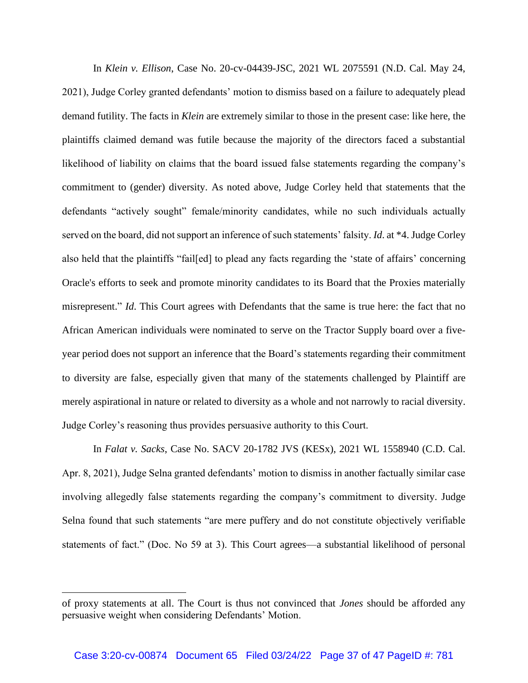In *Klein v. Ellison*, Case No. 20-cv-04439-JSC, 2021 WL 2075591 (N.D. Cal. May 24, 2021), Judge Corley granted defendants' motion to dismiss based on a failure to adequately plead demand futility. The facts in *Klein* are extremely similar to those in the present case: like here, the plaintiffs claimed demand was futile because the majority of the directors faced a substantial likelihood of liability on claims that the board issued false statements regarding the company's commitment to (gender) diversity. As noted above, Judge Corley held that statements that the defendants "actively sought" female/minority candidates, while no such individuals actually served on the board, did not support an inference of such statements' falsity. *Id*. at \*4. Judge Corley also held that the plaintiffs "fail[ed] to plead any facts regarding the 'state of affairs' concerning Oracle's efforts to seek and promote minority candidates to its Board that the Proxies materially misrepresent." *Id*. This Court agrees with Defendants that the same is true here: the fact that no African American individuals were nominated to serve on the Tractor Supply board over a fiveyear period does not support an inference that the Board's statements regarding their commitment to diversity are false, especially given that many of the statements challenged by Plaintiff are merely aspirational in nature or related to diversity as a whole and not narrowly to racial diversity. Judge Corley's reasoning thus provides persuasive authority to this Court.

In *Falat v. Sacks*, Case No. SACV 20-1782 JVS (KESx), 2021 WL 1558940 (C.D. Cal. Apr. 8, 2021), Judge Selna granted defendants' motion to dismiss in another factually similar case involving allegedly false statements regarding the company's commitment to diversity. Judge Selna found that such statements "are mere puffery and do not constitute objectively verifiable statements of fact." (Doc. No 59 at 3). This Court agrees—a substantial likelihood of personal

of proxy statements at all. The Court is thus not convinced that *Jones* should be afforded any persuasive weight when considering Defendants' Motion.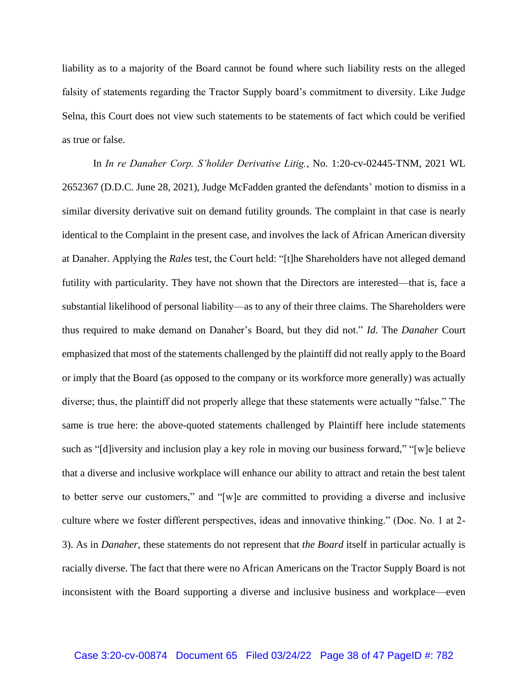liability as to a majority of the Board cannot be found where such liability rests on the alleged falsity of statements regarding the Tractor Supply board's commitment to diversity. Like Judge Selna, this Court does not view such statements to be statements of fact which could be verified as true or false.

In *In re Danaher Corp. S'holder Derivative Litig.*, No. 1:20-cv-02445-TNM, 2021 WL 2652367 (D.D.C. June 28, 2021), Judge McFadden granted the defendants' motion to dismiss in a similar diversity derivative suit on demand futility grounds. The complaint in that case is nearly identical to the Complaint in the present case, and involves the lack of African American diversity at Danaher. Applying the *Rales* test, the Court held: "[t]he Shareholders have not alleged demand futility with particularity. They have not shown that the Directors are interested—that is, face a substantial likelihood of personal liability—as to any of their three claims. The Shareholders were thus required to make demand on Danaher's Board, but they did not." *Id*. The *Danaher* Court emphasized that most of the statements challenged by the plaintiff did not really apply to the Board or imply that the Board (as opposed to the company or its workforce more generally) was actually diverse; thus, the plaintiff did not properly allege that these statements were actually "false." The same is true here: the above-quoted statements challenged by Plaintiff here include statements such as "[d]iversity and inclusion play a key role in moving our business forward," "[w]e believe that a diverse and inclusive workplace will enhance our ability to attract and retain the best talent to better serve our customers," and "[w]e are committed to providing a diverse and inclusive culture where we foster different perspectives, ideas and innovative thinking." (Doc. No. 1 at 2- 3). As in *Danaher*, these statements do not represent that *the Board* itself in particular actually is racially diverse. The fact that there were no African Americans on the Tractor Supply Board is not inconsistent with the Board supporting a diverse and inclusive business and workplace—even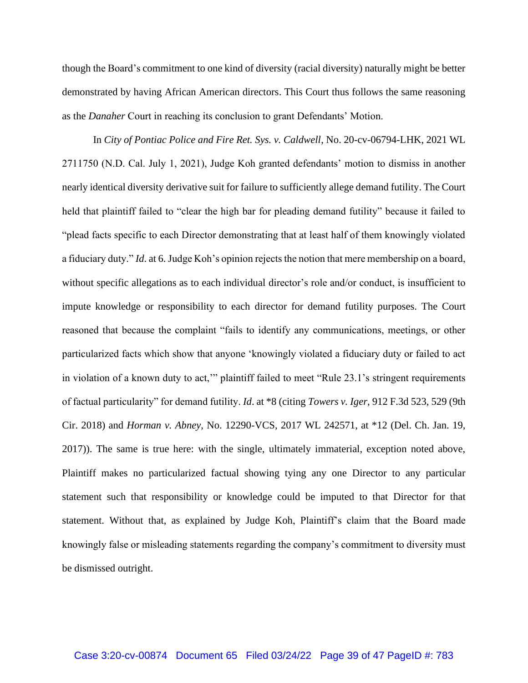though the Board's commitment to one kind of diversity (racial diversity) naturally might be better demonstrated by having African American directors. This Court thus follows the same reasoning as the *Danaher* Court in reaching its conclusion to grant Defendants' Motion.

In *City of Pontiac Police and Fire Ret. Sys. v. Caldwell*, No. 20-cv-06794-LHK, 2021 WL 2711750 (N.D. Cal. July 1, 2021), Judge Koh granted defendants' motion to dismiss in another nearly identical diversity derivative suit for failure to sufficiently allege demand futility. The Court held that plaintiff failed to "clear the high bar for pleading demand futility" because it failed to "plead facts specific to each Director demonstrating that at least half of them knowingly violated a fiduciary duty." *Id*. at 6. Judge Koh's opinion rejects the notion that mere membership on a board, without specific allegations as to each individual director's role and/or conduct, is insufficient to impute knowledge or responsibility to each director for demand futility purposes. The Court reasoned that because the complaint "fails to identify any communications, meetings, or other particularized facts which show that anyone 'knowingly violated a fiduciary duty or failed to act in violation of a known duty to act,'" plaintiff failed to meet "Rule 23.1's stringent requirements of factual particularity" for demand futility. *Id*. at \*8 (citing *Towers v. Iger*, 912 F.3d 523, 529 (9th Cir. 2018) and *Horman v. Abney*, No. 12290-VCS, 2017 WL 242571, at \*12 (Del. Ch. Jan. 19, 2017)). The same is true here: with the single, ultimately immaterial, exception noted above, Plaintiff makes no particularized factual showing tying any one Director to any particular statement such that responsibility or knowledge could be imputed to that Director for that statement. Without that, as explained by Judge Koh, Plaintiff's claim that the Board made knowingly false or misleading statements regarding the company's commitment to diversity must be dismissed outright.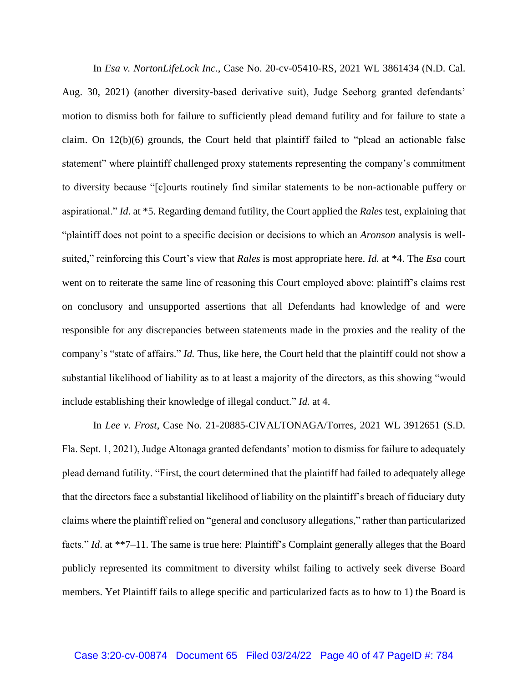In *Esa v. NortonLifeLock Inc.*, Case No. 20-cv-05410-RS, 2021 WL 3861434 (N.D. Cal. Aug. 30, 2021) (another diversity-based derivative suit), Judge Seeborg granted defendants' motion to dismiss both for failure to sufficiently plead demand futility and for failure to state a claim. On 12(b)(6) grounds, the Court held that plaintiff failed to "plead an actionable false statement" where plaintiff challenged proxy statements representing the company's commitment to diversity because "[c]ourts routinely find similar statements to be non-actionable puffery or aspirational." *Id*. at \*5. Regarding demand futility, the Court applied the *Rales* test, explaining that "plaintiff does not point to a specific decision or decisions to which an *Aronson* analysis is wellsuited," reinforcing this Court's view that *Rales* is most appropriate here. *Id.* at \*4. The *Esa* court went on to reiterate the same line of reasoning this Court employed above: plaintiff's claims rest on conclusory and unsupported assertions that all Defendants had knowledge of and were responsible for any discrepancies between statements made in the proxies and the reality of the company's "state of affairs." *Id.* Thus, like here, the Court held that the plaintiff could not show a substantial likelihood of liability as to at least a majority of the directors, as this showing "would include establishing their knowledge of illegal conduct." *Id.* at 4.

In *Lee v. Frost*, Case No. 21-20885-CIVALTONAGA/Torres, 2021 WL 3912651 (S.D. Fla. Sept. 1, 2021), Judge Altonaga granted defendants' motion to dismiss for failure to adequately plead demand futility. "First, the court determined that the plaintiff had failed to adequately allege that the directors face a substantial likelihood of liability on the plaintiff's breach of fiduciary duty claims where the plaintiff relied on "general and conclusory allegations," rather than particularized facts." *Id.* at \*\*7–11. The same is true here: Plaintiff's Complaint generally alleges that the Board publicly represented its commitment to diversity whilst failing to actively seek diverse Board members. Yet Plaintiff fails to allege specific and particularized facts as to how to 1) the Board is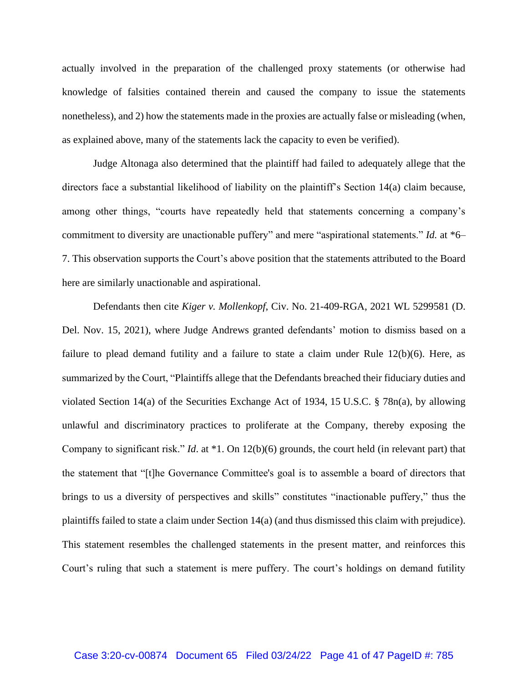actually involved in the preparation of the challenged proxy statements (or otherwise had knowledge of falsities contained therein and caused the company to issue the statements nonetheless), and 2) how the statements made in the proxies are actually false or misleading (when, as explained above, many of the statements lack the capacity to even be verified).

Judge Altonaga also determined that the plaintiff had failed to adequately allege that the directors face a substantial likelihood of liability on the plaintiff's Section 14(a) claim because, among other things, "courts have repeatedly held that statements concerning a company's commitment to diversity are unactionable puffery" and mere "aspirational statements." *Id.* at \*6– 7. This observation supports the Court's above position that the statements attributed to the Board here are similarly unactionable and aspirational.

Defendants then cite *Kiger v. Mollenkopf*, Civ. No. 21-409-RGA, 2021 WL 5299581 (D. Del. Nov. 15, 2021), where Judge Andrews granted defendants' motion to dismiss based on a failure to plead demand futility and a failure to state a claim under Rule 12(b)(6). Here, as summarized by the Court, "Plaintiffs allege that the Defendants breached their fiduciary duties and violated Section 14(a) of the Securities Exchange Act of 1934, 15 U.S.C. § 78n(a), by allowing unlawful and discriminatory practices to proliferate at the Company, thereby exposing the Company to significant risk." *Id*. at \*1. On 12(b)(6) grounds, the court held (in relevant part) that the statement that "[t]he Governance Committee's goal is to assemble a board of directors that brings to us a diversity of perspectives and skills" constitutes "inactionable puffery," thus the plaintiffs failed to state a claim under Section 14(a) (and thus dismissed this claim with prejudice). This statement resembles the challenged statements in the present matter, and reinforces this Court's ruling that such a statement is mere puffery. The court's holdings on demand futility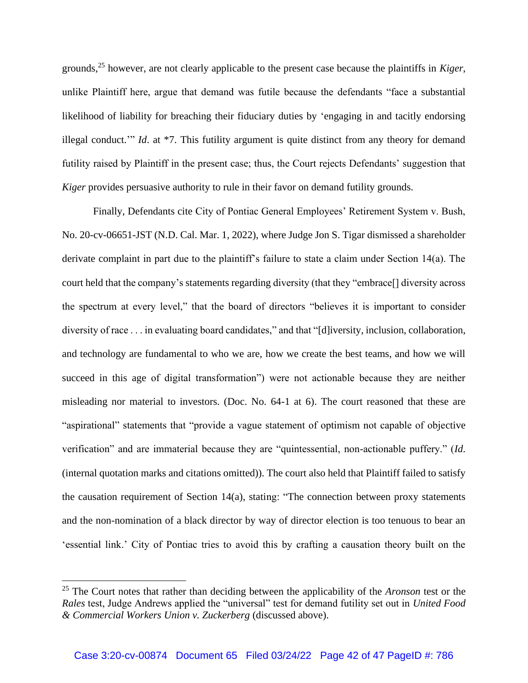grounds,<sup>25</sup> however, are not clearly applicable to the present case because the plaintiffs in *Kiger*, unlike Plaintiff here, argue that demand was futile because the defendants "face a substantial likelihood of liability for breaching their fiduciary duties by 'engaging in and tacitly endorsing illegal conduct.'" *Id*. at \*7. This futility argument is quite distinct from any theory for demand futility raised by Plaintiff in the present case; thus, the Court rejects Defendants' suggestion that *Kiger* provides persuasive authority to rule in their favor on demand futility grounds.

Finally, Defendants cite City of Pontiac General Employees' Retirement System v. Bush, No. 20-cv-06651-JST (N.D. Cal. Mar. 1, 2022), where Judge Jon S. Tigar dismissed a shareholder derivate complaint in part due to the plaintiff's failure to state a claim under Section 14(a). The court held that the company's statements regarding diversity (that they "embrace[] diversity across the spectrum at every level," that the board of directors "believes it is important to consider diversity of race . . . in evaluating board candidates," and that "[d]iversity, inclusion, collaboration, and technology are fundamental to who we are, how we create the best teams, and how we will succeed in this age of digital transformation") were not actionable because they are neither misleading nor material to investors. (Doc. No. 64-1 at 6). The court reasoned that these are "aspirational" statements that "provide a vague statement of optimism not capable of objective verification" and are immaterial because they are "quintessential, non-actionable puffery." (*Id*. (internal quotation marks and citations omitted)). The court also held that Plaintiff failed to satisfy the causation requirement of Section 14(a), stating: "The connection between proxy statements and the non-nomination of a black director by way of director election is too tenuous to bear an 'essential link.' City of Pontiac tries to avoid this by crafting a causation theory built on the

<sup>25</sup> The Court notes that rather than deciding between the applicability of the *Aronson* test or the *Rales* test, Judge Andrews applied the "universal" test for demand futility set out in *United Food & Commercial Workers Union v. Zuckerberg* (discussed above).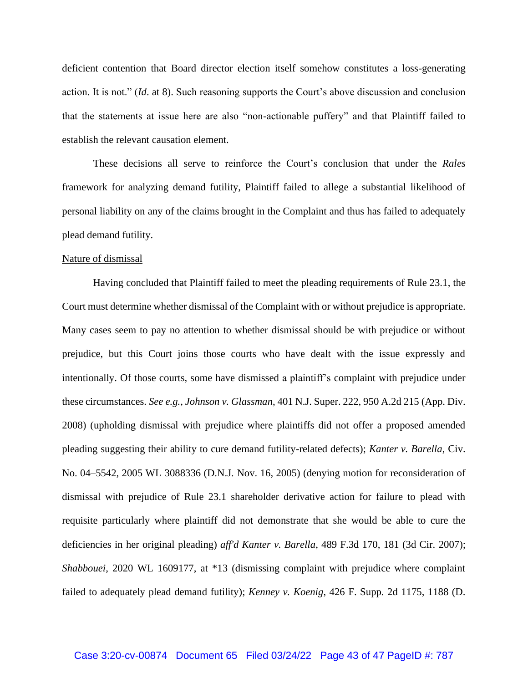deficient contention that Board director election itself somehow constitutes a loss-generating action. It is not." (*Id*. at 8). Such reasoning supports the Court's above discussion and conclusion that the statements at issue here are also "non-actionable puffery" and that Plaintiff failed to establish the relevant causation element.

These decisions all serve to reinforce the Court's conclusion that under the *Rales*  framework for analyzing demand futility, Plaintiff failed to allege a substantial likelihood of personal liability on any of the claims brought in the Complaint and thus has failed to adequately plead demand futility.

#### Nature of dismissal

Having concluded that Plaintiff failed to meet the pleading requirements of Rule 23.1, the Court must determine whether dismissal of the Complaint with or without prejudice is appropriate. Many cases seem to pay no attention to whether dismissal should be with prejudice or without prejudice, but this Court joins those courts who have dealt with the issue expressly and intentionally. Of those courts, some have dismissed a plaintiff's complaint with prejudice under these circumstances. *See e.g.*, *Johnson v. Glassman*, 401 N.J. Super. 222, 950 A.2d 215 (App. Div. 2008) (upholding dismissal with prejudice where plaintiffs did not offer a proposed amended pleading suggesting their ability to cure demand futility-related defects); *Kanter v. Barella*, Civ. No. 04–5542, 2005 WL 3088336 (D.N.J. Nov. 16, 2005) (denying motion for reconsideration of dismissal with prejudice of Rule 23.1 shareholder derivative action for failure to plead with requisite particularly where plaintiff did not demonstrate that she would be able to cure the deficiencies in her original pleading) *aff'd Kanter v. Barella*, 489 F.3d 170, 181 (3d Cir. 2007); *Shabbouei*, 2020 WL 1609177, at \*13 (dismissing complaint with prejudice where complaint failed to adequately plead demand futility); *Kenney v. Koenig*, 426 F. Supp. 2d 1175, 1188 (D.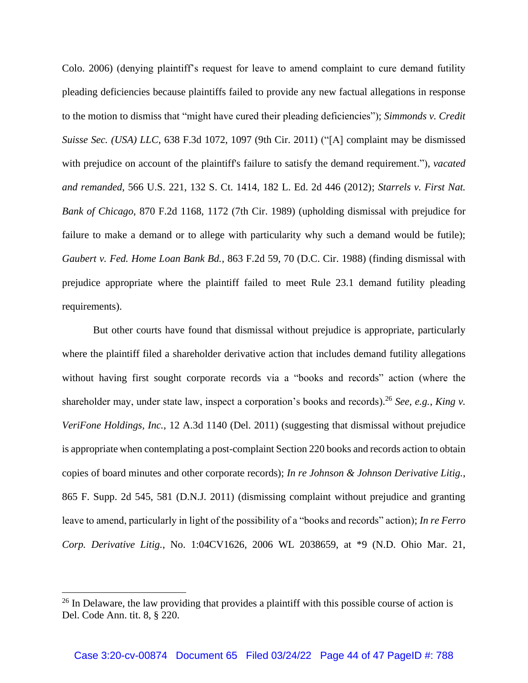Colo. 2006) (denying plaintiff's request for leave to amend complaint to cure demand futility pleading deficiencies because plaintiffs failed to provide any new factual allegations in response to the motion to dismiss that "might have cured their pleading deficiencies"); *Simmonds v. Credit Suisse Sec. (USA) LLC*, 638 F.3d 1072, 1097 (9th Cir. 2011) ("[A] complaint may be dismissed with prejudice on account of the plaintiff's failure to satisfy the demand requirement."), *vacated and remanded*, 566 U.S. 221, 132 S. Ct. 1414, 182 L. Ed. 2d 446 (2012); *Starrels v. First Nat. Bank of Chicago*, 870 F.2d 1168, 1172 (7th Cir. 1989) (upholding dismissal with prejudice for failure to make a demand or to allege with particularity why such a demand would be futile); *Gaubert v. Fed. Home Loan Bank Bd.*, 863 F.2d 59, 70 (D.C. Cir. 1988) (finding dismissal with prejudice appropriate where the plaintiff failed to meet Rule 23.1 demand futility pleading requirements).

But other courts have found that dismissal without prejudice is appropriate, particularly where the plaintiff filed a shareholder derivative action that includes demand futility allegations without having first sought corporate records via a "books and records" action (where the shareholder may, under state law, inspect a corporation's books and records). <sup>26</sup> *See, e.g.*, *King v. VeriFone Holdings, Inc.*, 12 A.3d 1140 (Del. 2011) (suggesting that dismissal without prejudice is appropriate when contemplating a post-complaint Section 220 books and records action to obtain copies of board minutes and other corporate records); *In re Johnson & Johnson Derivative Litig.*, 865 F. Supp. 2d 545, 581 (D.N.J. 2011) (dismissing complaint without prejudice and granting leave to amend, particularly in light of the possibility of a "books and records" action); *In re Ferro Corp. Derivative Litig.*, No. 1:04CV1626, 2006 WL 2038659, at \*9 (N.D. Ohio Mar. 21,

 $26$  In Delaware, the law providing that provides a plaintiff with this possible course of action is Del. Code Ann. tit. 8, § 220.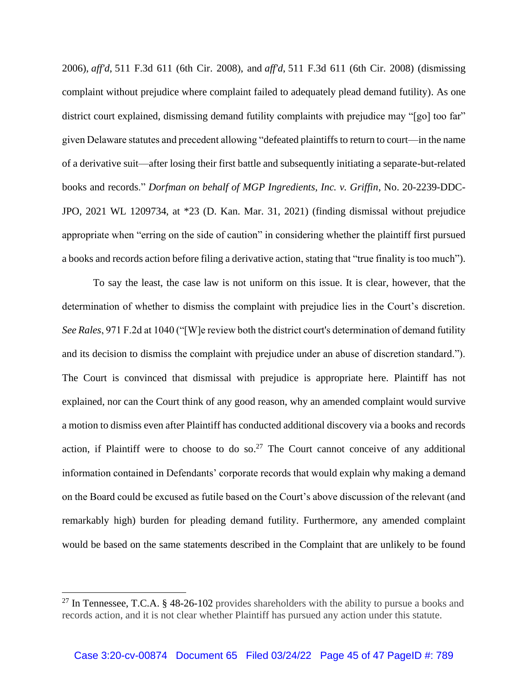2006), *aff'd*, 511 F.3d 611 (6th Cir. 2008), and *aff'd*, 511 F.3d 611 (6th Cir. 2008) (dismissing complaint without prejudice where complaint failed to adequately plead demand futility). As one district court explained, dismissing demand futility complaints with prejudice may "[go] too far" given Delaware statutes and precedent allowing "defeated plaintiffs to return to court—in the name of a derivative suit—after losing their first battle and subsequently initiating a separate-but-related books and records." *Dorfman on behalf of MGP Ingredients, Inc. v. Griffin*, No. 20-2239-DDC-JPO, 2021 WL 1209734, at \*23 (D. Kan. Mar. 31, 2021) (finding dismissal without prejudice appropriate when "erring on the side of caution" in considering whether the plaintiff first pursued a books and records action before filing a derivative action, stating that "true finality is too much").

To say the least, the case law is not uniform on this issue. It is clear, however, that the determination of whether to dismiss the complaint with prejudice lies in the Court's discretion. *See Rales*, 971 F.2d at 1040 ("[W]e review both the district court's determination of demand futility and its decision to dismiss the complaint with prejudice under an abuse of discretion standard."). The Court is convinced that dismissal with prejudice is appropriate here. Plaintiff has not explained, nor can the Court think of any good reason, why an amended complaint would survive a motion to dismiss even after Plaintiff has conducted additional discovery via a books and records action, if Plaintiff were to choose to do so.<sup>27</sup> The Court cannot conceive of any additional information contained in Defendants' corporate records that would explain why making a demand on the Board could be excused as futile based on the Court's above discussion of the relevant (and remarkably high) burden for pleading demand futility. Furthermore, any amended complaint would be based on the same statements described in the Complaint that are unlikely to be found

<sup>&</sup>lt;sup>27</sup> In Tennessee, T.C.A. § 48-26-102 provides shareholders with the ability to pursue a books and records action, and it is not clear whether Plaintiff has pursued any action under this statute.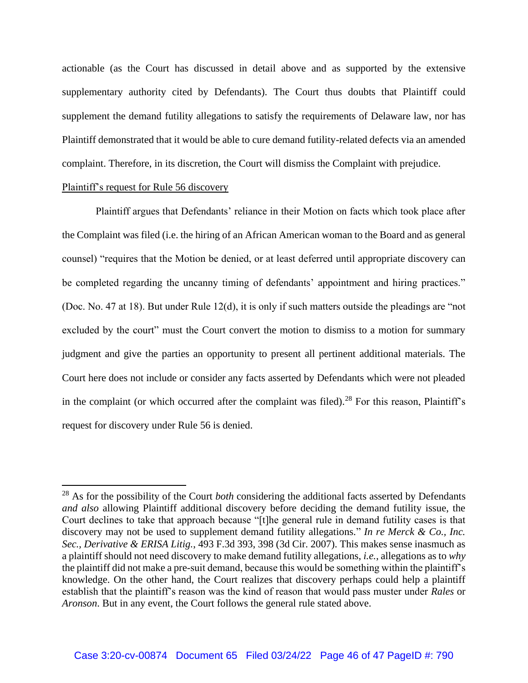actionable (as the Court has discussed in detail above and as supported by the extensive supplementary authority cited by Defendants). The Court thus doubts that Plaintiff could supplement the demand futility allegations to satisfy the requirements of Delaware law, nor has Plaintiff demonstrated that it would be able to cure demand futility-related defects via an amended complaint. Therefore, in its discretion, the Court will dismiss the Complaint with prejudice.

## Plaintiff's request for Rule 56 discovery

Plaintiff argues that Defendants' reliance in their Motion on facts which took place after the Complaint was filed (i.e. the hiring of an African American woman to the Board and as general counsel) "requires that the Motion be denied, or at least deferred until appropriate discovery can be completed regarding the uncanny timing of defendants' appointment and hiring practices." (Doc. No. 47 at 18). But under Rule 12(d), it is only if such matters outside the pleadings are "not excluded by the court" must the Court convert the motion to dismiss to a motion for summary judgment and give the parties an opportunity to present all pertinent additional materials. The Court here does not include or consider any facts asserted by Defendants which were not pleaded in the complaint (or which occurred after the complaint was filed).<sup>28</sup> For this reason, Plaintiff's request for discovery under Rule 56 is denied.

<sup>28</sup> As for the possibility of the Court *both* considering the additional facts asserted by Defendants *and also* allowing Plaintiff additional discovery before deciding the demand futility issue, the Court declines to take that approach because "[t]he general rule in demand futility cases is that discovery may not be used to supplement demand futility allegations." *In re Merck & Co., Inc. Sec., Derivative & ERISA Litig.*, 493 F.3d 393, 398 (3d Cir. 2007). This makes sense inasmuch as a plaintiff should not need discovery to make demand futility allegations, *i.e.*, allegations as to *why* the plaintiff did not make a pre-suit demand, because this would be something within the plaintiff's knowledge. On the other hand, the Court realizes that discovery perhaps could help a plaintiff establish that the plaintiff's reason was the kind of reason that would pass muster under *Rales* or *Aronson*. But in any event, the Court follows the general rule stated above.